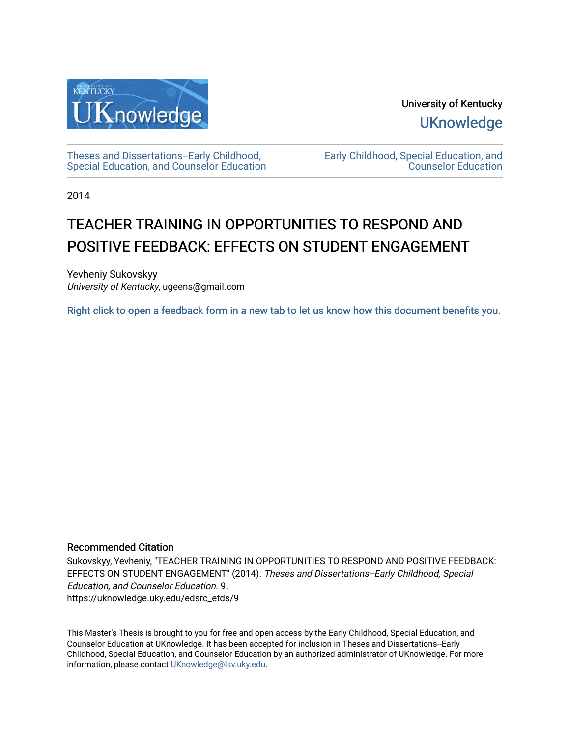

University of Kentucky **UKnowledge** 

[Theses and Dissertations--Early Childhood,](https://uknowledge.uky.edu/edsrc_etds)  [Special Education, and Counselor Education](https://uknowledge.uky.edu/edsrc_etds) [Early Childhood, Special Education, and](https://uknowledge.uky.edu/edsrc)  [Counselor Education](https://uknowledge.uky.edu/edsrc) 

2014

# TEACHER TRAINING IN OPPORTUNITIES TO RESPOND AND POSITIVE FEEDBACK: EFFECTS ON STUDENT ENGAGEMENT

Yevheniy Sukovskyy University of Kentucky, ugeens@gmail.com

[Right click to open a feedback form in a new tab to let us know how this document benefits you.](https://uky.az1.qualtrics.com/jfe/form/SV_9mq8fx2GnONRfz7)

## Recommended Citation

Sukovskyy, Yevheniy, "TEACHER TRAINING IN OPPORTUNITIES TO RESPOND AND POSITIVE FEEDBACK: EFFECTS ON STUDENT ENGAGEMENT" (2014). Theses and Dissertations--Early Childhood, Special Education, and Counselor Education. 9. https://uknowledge.uky.edu/edsrc\_etds/9

This Master's Thesis is brought to you for free and open access by the Early Childhood, Special Education, and Counselor Education at UKnowledge. It has been accepted for inclusion in Theses and Dissertations--Early Childhood, Special Education, and Counselor Education by an authorized administrator of UKnowledge. For more information, please contact [UKnowledge@lsv.uky.edu](mailto:UKnowledge@lsv.uky.edu).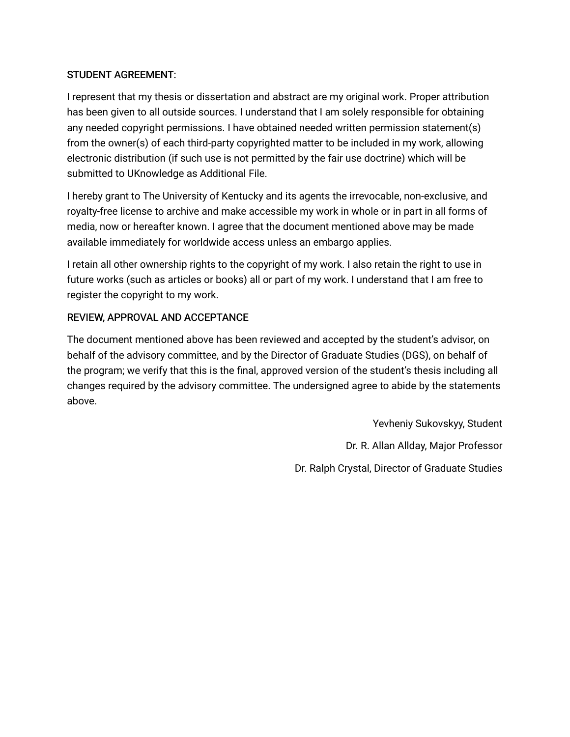# STUDENT AGREEMENT:

I represent that my thesis or dissertation and abstract are my original work. Proper attribution has been given to all outside sources. I understand that I am solely responsible for obtaining any needed copyright permissions. I have obtained needed written permission statement(s) from the owner(s) of each third-party copyrighted matter to be included in my work, allowing electronic distribution (if such use is not permitted by the fair use doctrine) which will be submitted to UKnowledge as Additional File.

I hereby grant to The University of Kentucky and its agents the irrevocable, non-exclusive, and royalty-free license to archive and make accessible my work in whole or in part in all forms of media, now or hereafter known. I agree that the document mentioned above may be made available immediately for worldwide access unless an embargo applies.

I retain all other ownership rights to the copyright of my work. I also retain the right to use in future works (such as articles or books) all or part of my work. I understand that I am free to register the copyright to my work.

# REVIEW, APPROVAL AND ACCEPTANCE

The document mentioned above has been reviewed and accepted by the student's advisor, on behalf of the advisory committee, and by the Director of Graduate Studies (DGS), on behalf of the program; we verify that this is the final, approved version of the student's thesis including all changes required by the advisory committee. The undersigned agree to abide by the statements above.

> Yevheniy Sukovskyy, Student Dr. R. Allan Allday, Major Professor Dr. Ralph Crystal, Director of Graduate Studies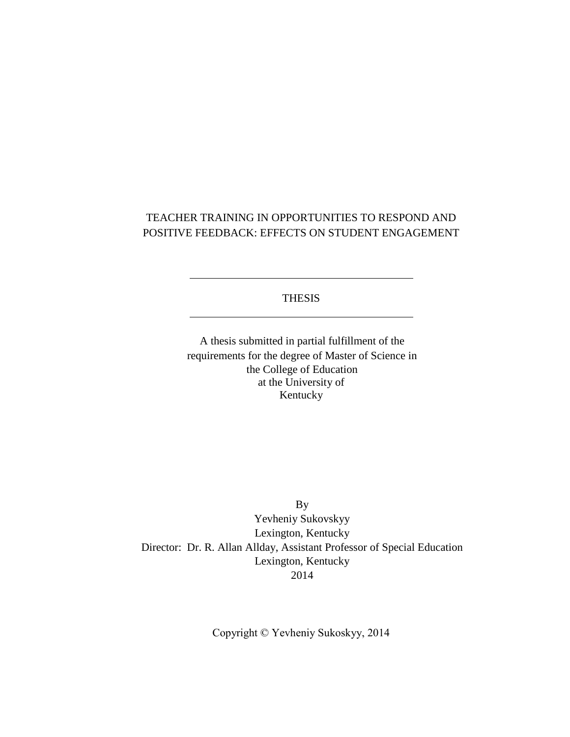# TEACHER TRAINING IN OPPORTUNITIES TO RESPOND AND POSITIVE FEEDBACK: EFFECTS ON STUDENT ENGAGEMENT

# **THESIS**

A thesis submitted in partial fulfillment of the requirements for the degree of Master of Science in the College of Education at the University of Kentucky

By Yevheniy Sukovskyy Lexington, Kentucky Director: Dr. R. Allan Allday, Assistant Professor of Special Education Lexington, Kentucky 2014

Copyright © Yevheniy Sukoskyy, 2014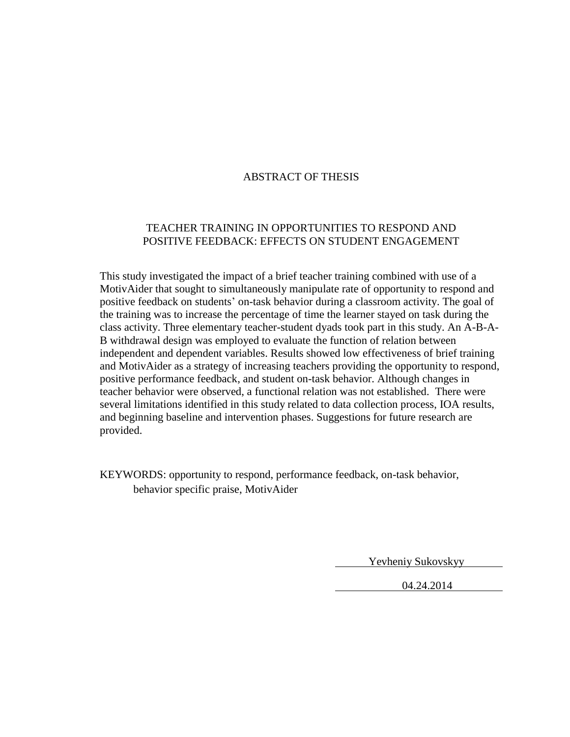# ABSTRACT OF THESIS

# TEACHER TRAINING IN OPPORTUNITIES TO RESPOND AND POSITIVE FEEDBACK: EFFECTS ON STUDENT ENGAGEMENT

This study investigated the impact of a brief teacher training combined with use of a MotivAider that sought to simultaneously manipulate rate of opportunity to respond and positive feedback on students' on-task behavior during a classroom activity. The goal of the training was to increase the percentage of time the learner stayed on task during the class activity. Three elementary teacher-student dyads took part in this study. An A-B-A-B withdrawal design was employed to evaluate the function of relation between independent and dependent variables. Results showed low effectiveness of brief training and MotivAider as a strategy of increasing teachers providing the opportunity to respond, positive performance feedback, and student on-task behavior. Although changes in teacher behavior were observed, a functional relation was not established. There were several limitations identified in this study related to data collection process, IOA results, and beginning baseline and intervention phases. Suggestions for future research are provided.

KEYWORDS: opportunity to respond, performance feedback, on-task behavior, behavior specific praise, MotivAider

Yevheniy Sukovskyy

04.24.2014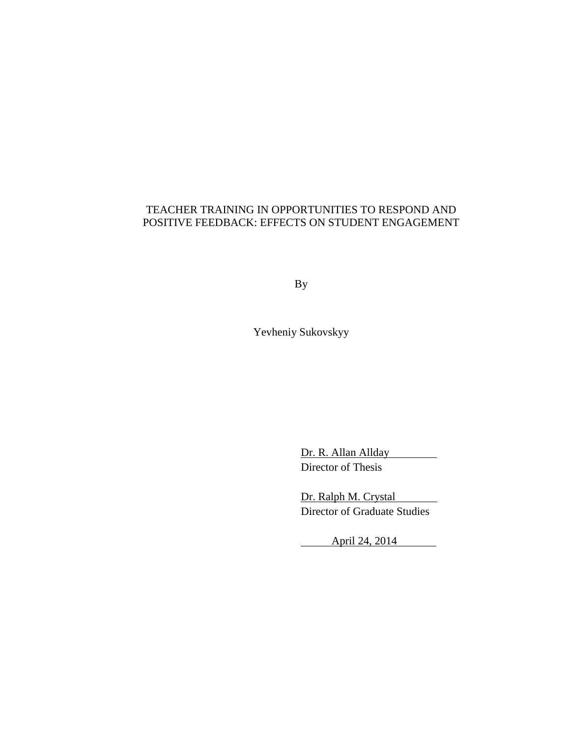# TEACHER TRAINING IN OPPORTUNITIES TO RESPOND AND POSITIVE FEEDBACK: EFFECTS ON STUDENT ENGAGEMENT

By

Yevheniy Sukovskyy

Dr. R. Allan Allday Director of Thesis

Dr. Ralph M. Crystal Director of Graduate Studies

April 24, 2014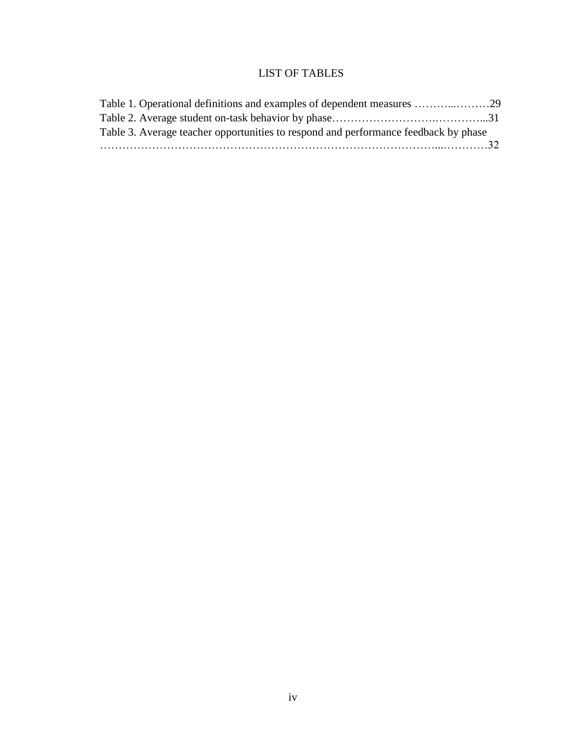# LIST OF TABLES

<span id="page-6-0"></span>

| Table 3. Average teacher opportunities to respond and performance feedback by phase |  |
|-------------------------------------------------------------------------------------|--|
|                                                                                     |  |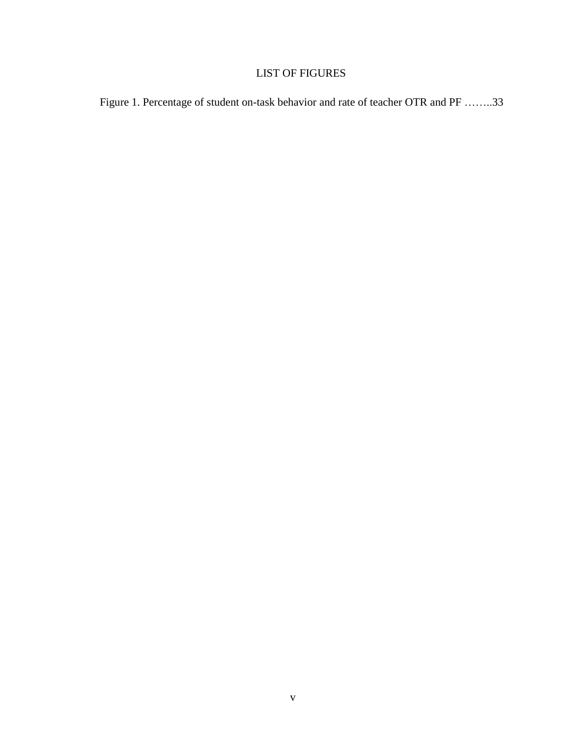# LIST OF FIGURES

<span id="page-7-0"></span>Figure 1. Percentage of student on-task behavior and rate of teacher OTR and PF ……..33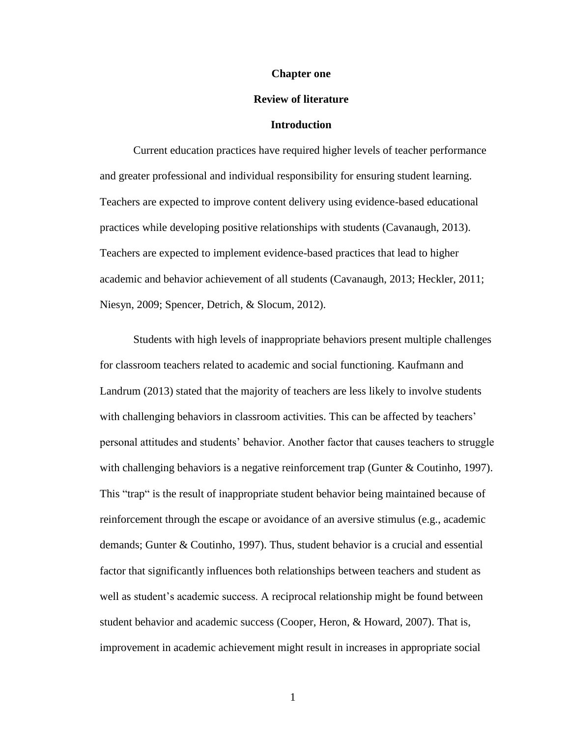#### **Chapter one**

#### **Review of literature**

#### **Introduction**

<span id="page-8-0"></span>Current education practices have required higher levels of teacher performance and greater professional and individual responsibility for ensuring student learning. Teachers are expected to improve content delivery using evidence-based educational practices while developing positive relationships with students (Cavanaugh, 2013). Teachers are expected to implement evidence-based practices that lead to higher academic and behavior achievement of all students (Cavanaugh, 2013; Heckler, 2011; Niesyn, 2009; Spencer, Detrich, & Slocum, 2012).

Students with high levels of inappropriate behaviors present multiple challenges for classroom teachers related to academic and social functioning. Kaufmann and Landrum (2013) stated that the majority of teachers are less likely to involve students with challenging behaviors in classroom activities. This can be affected by teachers' personal attitudes and students' behavior. Another factor that causes teachers to struggle with challenging behaviors is a negative reinforcement trap (Gunter & Coutinho, 1997). This "trap" is the result of inappropriate student behavior being maintained because of reinforcement through the escape or avoidance of an aversive stimulus (e.g., academic demands; Gunter & Coutinho, 1997). Thus, student behavior is a crucial and essential factor that significantly influences both relationships between teachers and student as well as student's academic success. A reciprocal relationship might be found between student behavior and academic success (Cooper, Heron, & Howard, 2007). That is, improvement in academic achievement might result in increases in appropriate social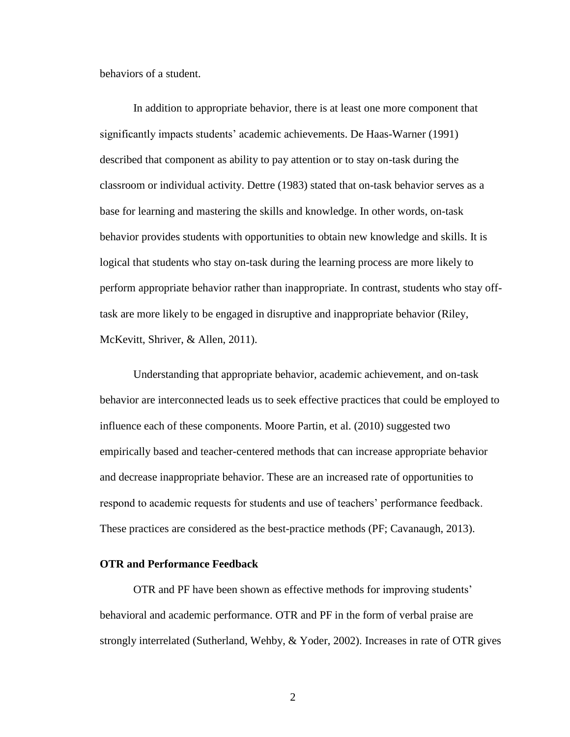behaviors of a student.

In addition to appropriate behavior, there is at least one more component that significantly impacts students' academic achievements. De Haas-Warner (1991) described that component as ability to pay attention or to stay on-task during the classroom or individual activity. Dettre (1983) stated that on-task behavior serves as a base for learning and mastering the skills and knowledge. In other words, on-task behavior provides students with opportunities to obtain new knowledge and skills. It is logical that students who stay on-task during the learning process are more likely to perform appropriate behavior rather than inappropriate. In contrast, students who stay offtask are more likely to be engaged in disruptive and inappropriate behavior (Riley, McKevitt, Shriver, & Allen, 2011).

Understanding that appropriate behavior, academic achievement, and on-task behavior are interconnected leads us to seek effective practices that could be employed to influence each of these components. Moore Partin, et al. (2010) suggested two empirically based and teacher-centered methods that can increase appropriate behavior and decrease inappropriate behavior. These are an increased rate of opportunities to respond to academic requests for students and use of teachers' performance feedback. These practices are considered as the best-practice methods (PF; Cavanaugh, 2013).

### <span id="page-9-0"></span>**OTR and Performance Feedback**

OTR and PF have been shown as effective methods for improving students' behavioral and academic performance. OTR and PF in the form of verbal praise are strongly interrelated (Sutherland, Wehby, & Yoder, 2002). Increases in rate of OTR gives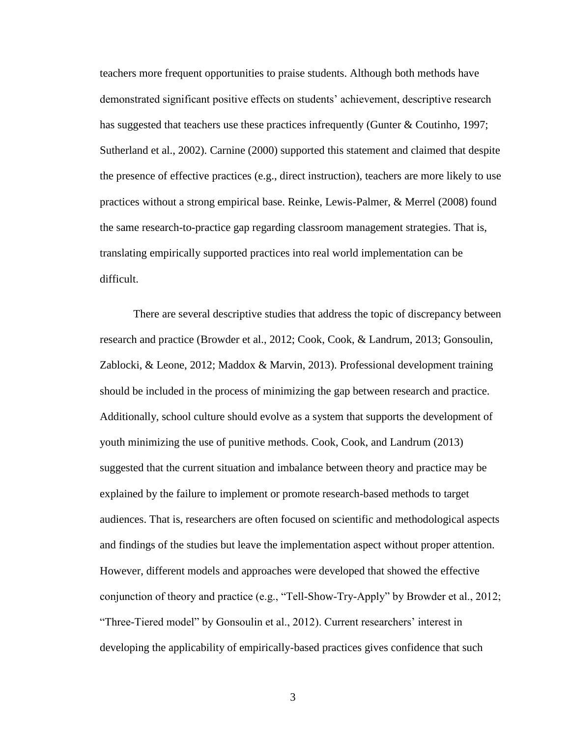teachers more frequent opportunities to praise students. Although both methods have demonstrated significant positive effects on students' achievement, descriptive research has suggested that teachers use these practices infrequently (Gunter & Coutinho, 1997; Sutherland et al., 2002). Carnine (2000) supported this statement and claimed that despite the presence of effective practices (e.g., direct instruction), teachers are more likely to use practices without a strong empirical base. Reinke, Lewis-Palmer, & Merrel (2008) found the same research-to-practice gap regarding classroom management strategies. That is, translating empirically supported practices into real world implementation can be difficult.

There are several descriptive studies that address the topic of discrepancy between research and practice (Browder et al., 2012; Cook, Cook, & Landrum, 2013; Gonsoulin, Zablocki, & Leone, 2012; Maddox & Marvin, 2013). Professional development training should be included in the process of minimizing the gap between research and practice. Additionally, school culture should evolve as a system that supports the development of youth minimizing the use of punitive methods. Cook, Cook, and Landrum (2013) suggested that the current situation and imbalance between theory and practice may be explained by the failure to implement or promote research-based methods to target audiences. That is, researchers are often focused on scientific and methodological aspects and findings of the studies but leave the implementation aspect without proper attention. However, different models and approaches were developed that showed the effective conjunction of theory and practice (e.g., "Tell-Show-Try-Apply" by Browder et al., 2012; "Three-Tiered model" by Gonsoulin et al., 2012). Current researchers' interest in developing the applicability of empirically-based practices gives confidence that such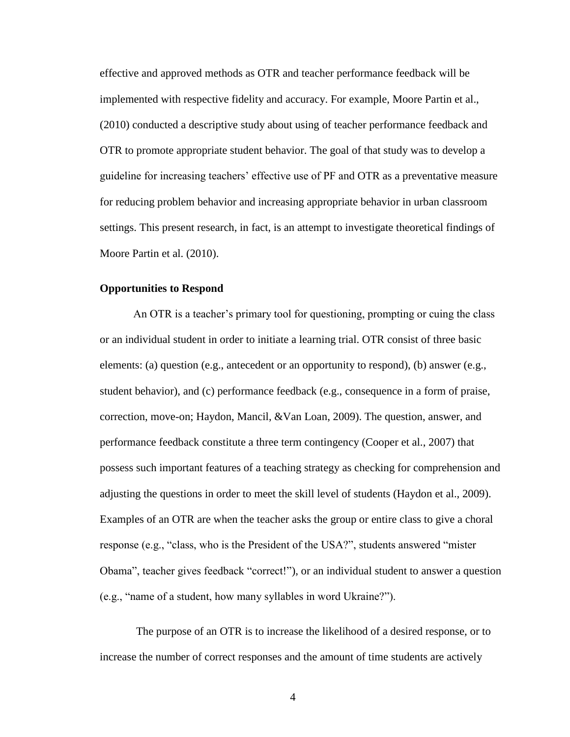effective and approved methods as OTR and teacher performance feedback will be implemented with respective fidelity and accuracy. For example, Moore Partin et al., (2010) conducted a descriptive study about using of teacher performance feedback and OTR to promote appropriate student behavior. The goal of that study was to develop a guideline for increasing teachers' effective use of PF and OTR as a preventative measure for reducing problem behavior and increasing appropriate behavior in urban classroom settings. This present research, in fact, is an attempt to investigate theoretical findings of Moore Partin et al. (2010).

#### <span id="page-11-0"></span>**Opportunities to Respond**

An OTR is a teacher's primary tool for questioning, prompting or cuing the class or an individual student in order to initiate a learning trial. OTR consist of three basic elements: (a) question (e.g., antecedent or an opportunity to respond), (b) answer (e.g., student behavior), and (c) performance feedback (e.g., consequence in a form of praise, correction, move-on; Haydon, Mancil, &Van Loan, 2009). The question, answer, and performance feedback constitute a three term contingency (Cooper et al., 2007) that possess such important features of a teaching strategy as checking for comprehension and adjusting the questions in order to meet the skill level of students (Haydon et al., 2009). Examples of an OTR are when the teacher asks the group or entire class to give a choral response (e.g., "class, who is the President of the USA?", students answered "mister Obama", teacher gives feedback "correct!"), or an individual student to answer a question (e.g., "name of a student, how many syllables in word Ukraine?").

The purpose of an OTR is to increase the likelihood of a desired response, or to increase the number of correct responses and the amount of time students are actively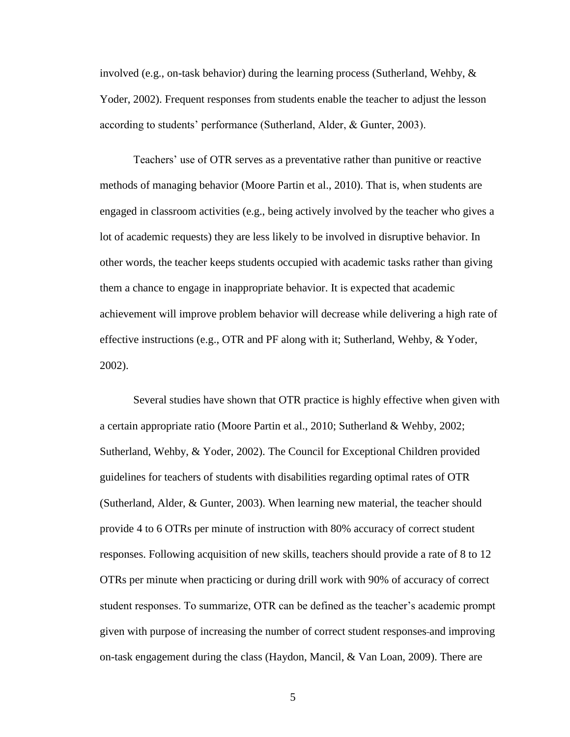involved (e.g., on-task behavior) during the learning process (Sutherland, Wehby,  $\&$ Yoder, 2002). Frequent responses from students enable the teacher to adjust the lesson according to students' performance (Sutherland, Alder, & Gunter, 2003).

Teachers' use of OTR serves as a preventative rather than punitive or reactive methods of managing behavior (Moore Partin et al., 2010). That is, when students are engaged in classroom activities (e.g., being actively involved by the teacher who gives a lot of academic requests) they are less likely to be involved in disruptive behavior. In other words, the teacher keeps students occupied with academic tasks rather than giving them a chance to engage in inappropriate behavior. It is expected that academic achievement will improve problem behavior will decrease while delivering a high rate of effective instructions (e.g., OTR and PF along with it; Sutherland, Wehby, & Yoder, 2002).

Several studies have shown that OTR practice is highly effective when given with a certain appropriate ratio (Moore Partin et al., 2010; Sutherland & Wehby, 2002; Sutherland, Wehby, & Yoder, 2002). The Council for Exceptional Children provided guidelines for teachers of students with disabilities regarding optimal rates of OTR (Sutherland, Alder, & Gunter, 2003). When learning new material, the teacher should provide 4 to 6 OTRs per minute of instruction with 80% accuracy of correct student responses. Following acquisition of new skills, teachers should provide a rate of 8 to 12 OTRs per minute when practicing or during drill work with 90% of accuracy of correct student responses. To summarize, OTR can be defined as the teacher's academic prompt given with purpose of increasing the number of correct student responses and improving on-task engagement during the class (Haydon, Mancil, & Van Loan, 2009). There are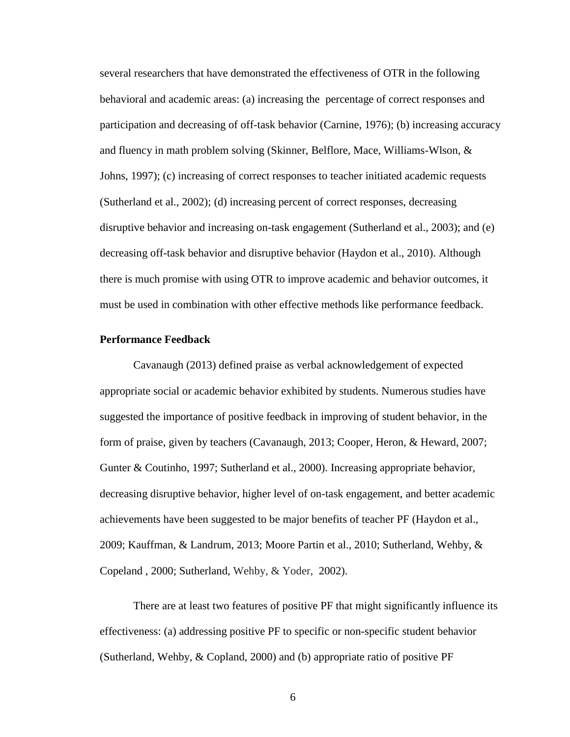several researchers that have demonstrated the effectiveness of OTR in the following behavioral and academic areas: (a) increasing the percentage of correct responses and participation and decreasing of off-task behavior (Carnine, 1976); (b) increasing accuracy and fluency in math problem solving (Skinner, Belflore, Mace, Williams-Wlson, & Johns, 1997); (c) increasing of correct responses to teacher initiated academic requests (Sutherland et al., 2002); (d) increasing percent of correct responses, decreasing disruptive behavior and increasing on-task engagement (Sutherland et al., 2003); and (e) decreasing off-task behavior and disruptive behavior (Haydon et al., 2010). Although there is much promise with using OTR to improve academic and behavior outcomes, it must be used in combination with other effective methods like performance feedback.

#### <span id="page-13-0"></span>**Performance Feedback**

Cavanaugh (2013) defined praise as verbal acknowledgement of expected appropriate social or academic behavior exhibited by students. Numerous studies have suggested the importance of positive feedback in improving of student behavior, in the form of praise, given by teachers (Cavanaugh, 2013; Cooper, Heron, & Heward, 2007; Gunter & Coutinho, 1997; Sutherland et al., 2000). Increasing appropriate behavior, decreasing disruptive behavior, higher level of on-task engagement, and better academic achievements have been suggested to be major benefits of teacher PF (Haydon et al., 2009; Kauffman, & Landrum, 2013; Moore Partin et al., 2010; Sutherland, Wehby, & Copeland , 2000; Sutherland, Wehby, & Yoder, 2002).

There are at least two features of positive PF that might significantly influence its effectiveness: (a) addressing positive PF to specific or non-specific student behavior (Sutherland, Wehby, & Copland, 2000) and (b) appropriate ratio of positive PF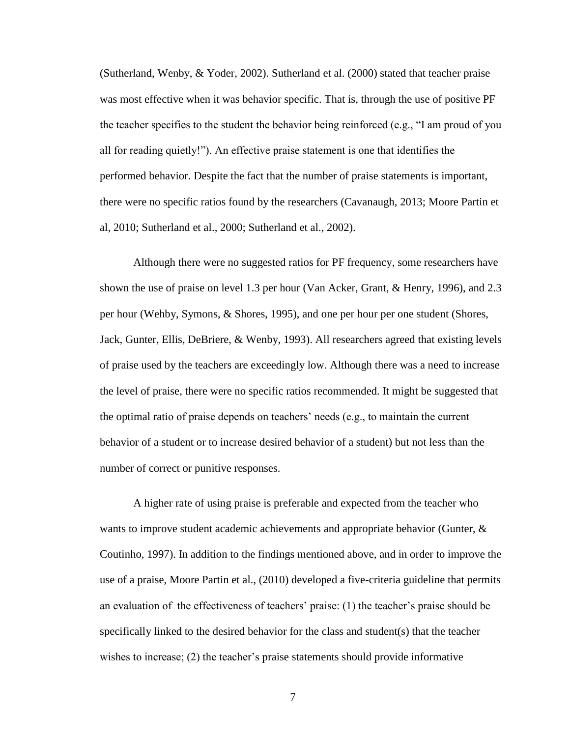(Sutherland, Wenby, & Yoder, 2002). Sutherland et al. (2000) stated that teacher praise was most effective when it was behavior specific. That is, through the use of positive PF the teacher specifies to the student the behavior being reinforced (e.g., "I am proud of you all for reading quietly!"). An effective praise statement is one that identifies the performed behavior. Despite the fact that the number of praise statements is important, there were no specific ratios found by the researchers (Cavanaugh, 2013; Moore Partin et al, 2010; Sutherland et al., 2000; Sutherland et al., 2002).

Although there were no suggested ratios for PF frequency, some researchers have shown the use of praise on level 1.3 per hour (Van Acker, Grant, & Henry, 1996), and 2.3 per hour (Wehby, Symons, & Shores, 1995), and one per hour per one student (Shores, Jack, Gunter, Ellis, DeBriere, & Wenby, 1993). All researchers agreed that existing levels of praise used by the teachers are exceedingly low. Although there was a need to increase the level of praise, there were no specific ratios recommended. It might be suggested that the optimal ratio of praise depends on teachers' needs (e.g., to maintain the current behavior of a student or to increase desired behavior of a student) but not less than the number of correct or punitive responses.

A higher rate of using praise is preferable and expected from the teacher who wants to improve student academic achievements and appropriate behavior (Gunter,  $\&$ Coutinho, 1997). In addition to the findings mentioned above, and in order to improve the use of a praise, Moore Partin et al., (2010) developed a five-criteria guideline that permits an evaluation of the effectiveness of teachers' praise: (1) the teacher's praise should be specifically linked to the desired behavior for the class and student(s) that the teacher wishes to increase; (2) the teacher's praise statements should provide informative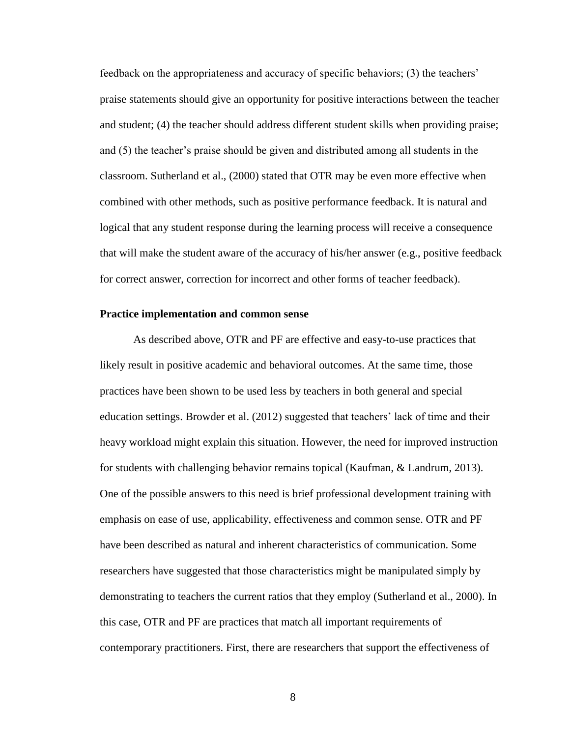feedback on the appropriateness and accuracy of specific behaviors; (3) the teachers' praise statements should give an opportunity for positive interactions between the teacher and student; (4) the teacher should address different student skills when providing praise; and (5) the teacher's praise should be given and distributed among all students in the classroom. Sutherland et al., (2000) stated that OTR may be even more effective when combined with other methods, such as positive performance feedback. It is natural and logical that any student response during the learning process will receive a consequence that will make the student aware of the accuracy of his/her answer (e.g., positive feedback for correct answer, correction for incorrect and other forms of teacher feedback).

#### <span id="page-15-0"></span>**Practice implementation and common sense**

As described above, OTR and PF are effective and easy-to-use practices that likely result in positive academic and behavioral outcomes. At the same time, those practices have been shown to be used less by teachers in both general and special education settings. Browder et al. (2012) suggested that teachers' lack of time and their heavy workload might explain this situation. However, the need for improved instruction for students with challenging behavior remains topical (Kaufman, & Landrum, 2013). One of the possible answers to this need is brief professional development training with emphasis on ease of use, applicability, effectiveness and common sense. OTR and PF have been described as natural and inherent characteristics of communication. Some researchers have suggested that those characteristics might be manipulated simply by demonstrating to teachers the current ratios that they employ (Sutherland et al., 2000). In this case, OTR and PF are practices that match all important requirements of contemporary practitioners. First, there are researchers that support the effectiveness of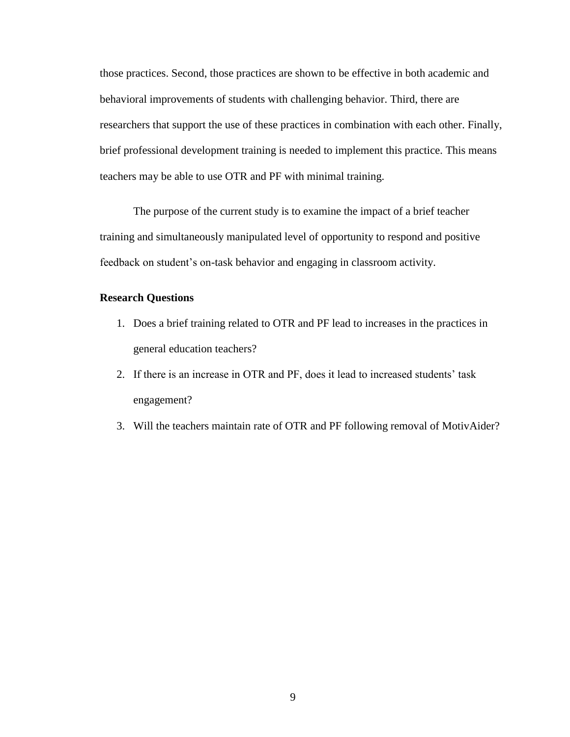those practices. Second, those practices are shown to be effective in both academic and behavioral improvements of students with challenging behavior. Third, there are researchers that support the use of these practices in combination with each other. Finally, brief professional development training is needed to implement this practice. This means teachers may be able to use OTR and PF with minimal training.

The purpose of the current study is to examine the impact of a brief teacher training and simultaneously manipulated level of opportunity to respond and positive feedback on student's on-task behavior and engaging in classroom activity.

### <span id="page-16-0"></span>**Research Questions**

- 1. Does a brief training related to OTR and PF lead to increases in the practices in general education teachers?
- 2. If there is an increase in OTR and PF, does it lead to increased students' task engagement?
- 3. Will the teachers maintain rate of OTR and PF following removal of MotivAider?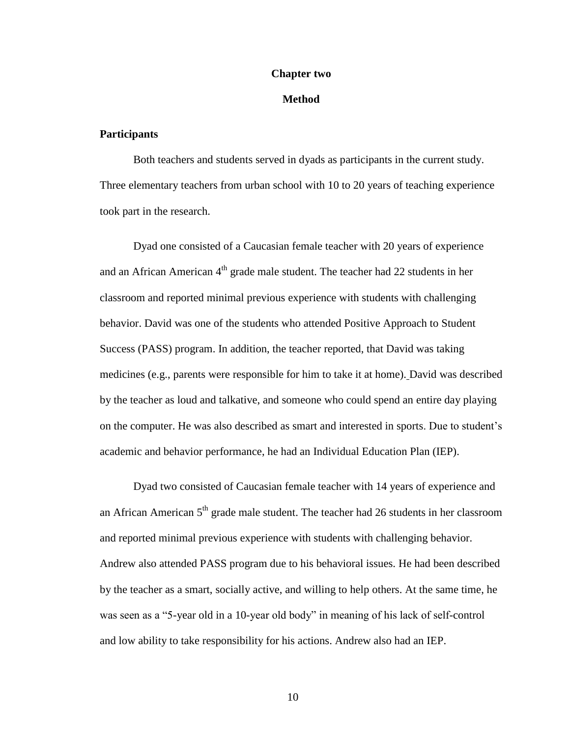#### **Chapter two**

#### **Method**

#### <span id="page-17-1"></span><span id="page-17-0"></span>**Participants**

Both teachers and students served in dyads as participants in the current study. Three elementary teachers from urban school with 10 to 20 years of teaching experience took part in the research.

Dyad one consisted of a Caucasian female teacher with 20 years of experience and an African American  $4<sup>th</sup>$  grade male student. The teacher had 22 students in her classroom and reported minimal previous experience with students with challenging behavior. David was one of the students who attended Positive Approach to Student Success (PASS) program. In addition, the teacher reported, that David was taking medicines (e.g., parents were responsible for him to take it at home). David was described by the teacher as loud and talkative, and someone who could spend an entire day playing on the computer. He was also described as smart and interested in sports. Due to student's academic and behavior performance, he had an Individual Education Plan (IEP).

Dyad two consisted of Caucasian female teacher with 14 years of experience and an African American  $5<sup>th</sup>$  grade male student. The teacher had 26 students in her classroom and reported minimal previous experience with students with challenging behavior. Andrew also attended PASS program due to his behavioral issues. He had been described by the teacher as a smart, socially active, and willing to help others. At the same time, he was seen as a "5-year old in a 10-year old body" in meaning of his lack of self-control and low ability to take responsibility for his actions. Andrew also had an IEP.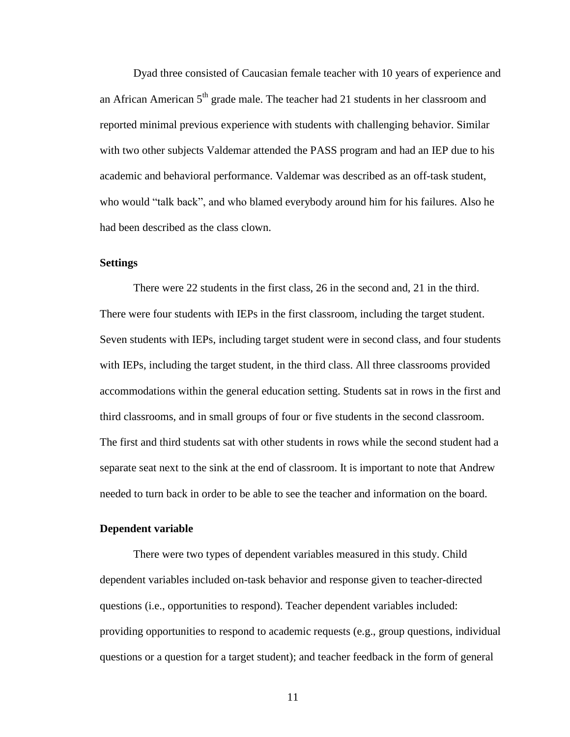Dyad three consisted of Caucasian female teacher with 10 years of experience and an African American  $5<sup>th</sup>$  grade male. The teacher had 21 students in her classroom and reported minimal previous experience with students with challenging behavior. Similar with two other subjects Valdemar attended the PASS program and had an IEP due to his academic and behavioral performance. Valdemar was described as an off-task student, who would "talk back", and who blamed everybody around him for his failures. Also he had been described as the class clown.

### <span id="page-18-0"></span>**Settings**

There were 22 students in the first class, 26 in the second and, 21 in the third. There were four students with IEPs in the first classroom, including the target student. Seven students with IEPs, including target student were in second class, and four students with IEPs, including the target student, in the third class. All three classrooms provided accommodations within the general education setting. Students sat in rows in the first and third classrooms, and in small groups of four or five students in the second classroom. The first and third students sat with other students in rows while the second student had a separate seat next to the sink at the end of classroom. It is important to note that Andrew needed to turn back in order to be able to see the teacher and information on the board.

#### <span id="page-18-1"></span>**Dependent variable**

There were two types of dependent variables measured in this study. Child dependent variables included on-task behavior and response given to teacher-directed questions (i.e., opportunities to respond). Teacher dependent variables included: providing opportunities to respond to academic requests (e.g., group questions, individual questions or a question for a target student); and teacher feedback in the form of general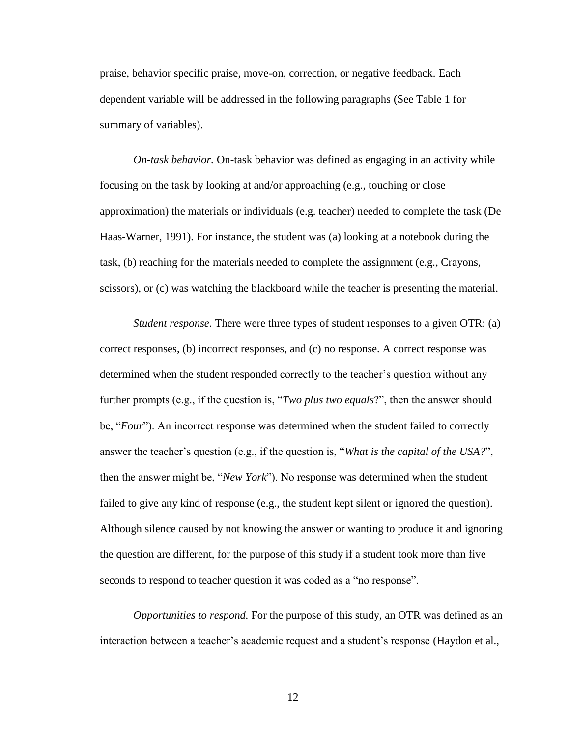praise, behavior specific praise, move-on, correction, or negative feedback. Each dependent variable will be addressed in the following paragraphs (See Table 1 for summary of variables).

*On-task behavior.* On-task behavior was defined as engaging in an activity while focusing on the task by looking at and/or approaching (e.g., touching or close approximation) the materials or individuals (e.g. teacher) needed to complete the task (De Haas-Warner, 1991). For instance, the student was (a) looking at a notebook during the task, (b) reaching for the materials needed to complete the assignment (e.g., Crayons, scissors), or (c) was watching the blackboard while the teacher is presenting the material.

*Student response.* There were three types of student responses to a given OTR: (a) correct responses, (b) incorrect responses, and (c) no response. A correct response was determined when the student responded correctly to the teacher's question without any further prompts (e.g., if the question is, "*Two plus two equals*?", then the answer should be, "*Four*"). An incorrect response was determined when the student failed to correctly answer the teacher's question (e.g., if the question is, "*What is the capital of the USA?*", then the answer might be, "*New York*"). No response was determined when the student failed to give any kind of response (e.g., the student kept silent or ignored the question). Although silence caused by not knowing the answer or wanting to produce it and ignoring the question are different, for the purpose of this study if a student took more than five seconds to respond to teacher question it was coded as a "no response".

*Opportunities to respond.* For the purpose of this study, an OTR was defined as an interaction between a teacher's academic request and a student's response (Haydon et al.,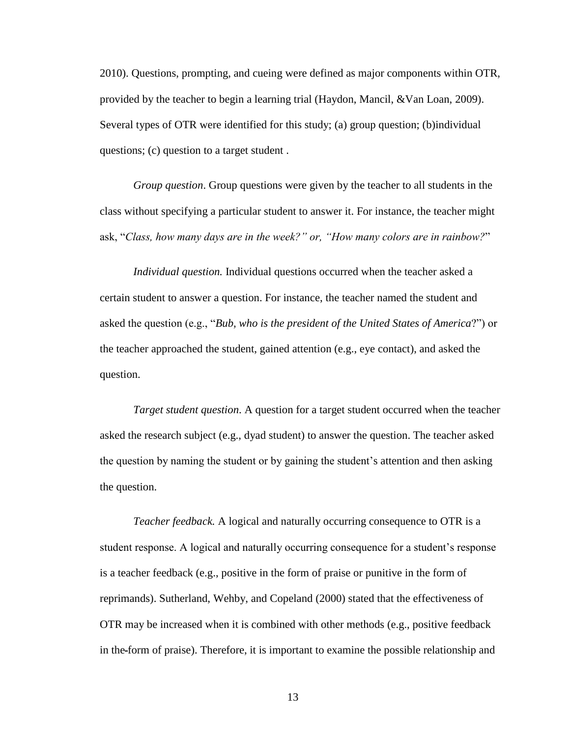2010). Questions, prompting, and cueing were defined as major components within OTR, provided by the teacher to begin a learning trial (Haydon, Mancil, &Van Loan, 2009). Several types of OTR were identified for this study; (a) group question; (b)individual questions; (c) question to a target student .

*Group question*. Group questions were given by the teacher to all students in the class without specifying a particular student to answer it. For instance, the teacher might ask, "*Class, how many days are in the week?" or, "How many colors are in rainbow?*"

*Individual question.* Individual questions occurred when the teacher asked a certain student to answer a question. For instance, the teacher named the student and asked the question (e.g., "*Bub, who is the president of the United States of America*?") or the teacher approached the student, gained attention (e.g., eye contact), and asked the question.

*Target student question*. A question for a target student occurred when the teacher asked the research subject (e.g., dyad student) to answer the question. The teacher asked the question by naming the student or by gaining the student's attention and then asking the question.

*Teacher feedback.* A logical and naturally occurring consequence to OTR is a student response. A logical and naturally occurring consequence for a student's response is a teacher feedback (e.g., positive in the form of praise or punitive in the form of reprimands). Sutherland, Wehby, and Copeland (2000) stated that the effectiveness of OTR may be increased when it is combined with other methods (e.g., positive feedback in the form of praise). Therefore, it is important to examine the possible relationship and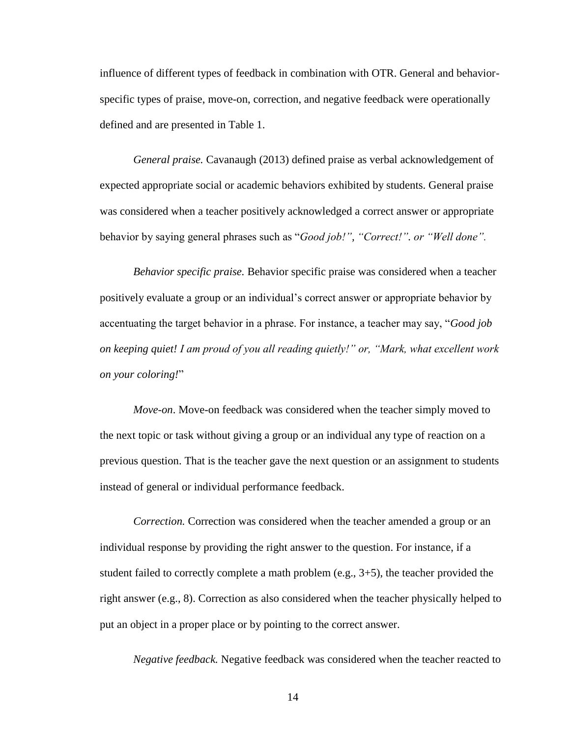influence of different types of feedback in combination with OTR. General and behaviorspecific types of praise, move-on, correction, and negative feedback were operationally defined and are presented in Table 1.

*General praise.* Cavanaugh (2013) defined praise as verbal acknowledgement of expected appropriate social or academic behaviors exhibited by students. General praise was considered when a teacher positively acknowledged a correct answer or appropriate behavior by saying general phrases such as "*Good job!", "Correct!". or "Well done".* 

*Behavior specific praise.* Behavior specific praise was considered when a teacher positively evaluate a group or an individual's correct answer or appropriate behavior by accentuating the target behavior in a phrase. For instance, a teacher may say, "*Good job on keeping quiet! I am proud of you all reading quietly!" or, "Mark, what excellent work on your coloring!*"

*Move-on*. Move-on feedback was considered when the teacher simply moved to the next topic or task without giving a group or an individual any type of reaction on a previous question. That is the teacher gave the next question or an assignment to students instead of general or individual performance feedback.

*Correction.* Correction was considered when the teacher amended a group or an individual response by providing the right answer to the question. For instance, if a student failed to correctly complete a math problem (e.g., 3+5), the teacher provided the right answer (e.g., 8). Correction as also considered when the teacher physically helped to put an object in a proper place or by pointing to the correct answer.

*Negative feedback.* Negative feedback was considered when the teacher reacted to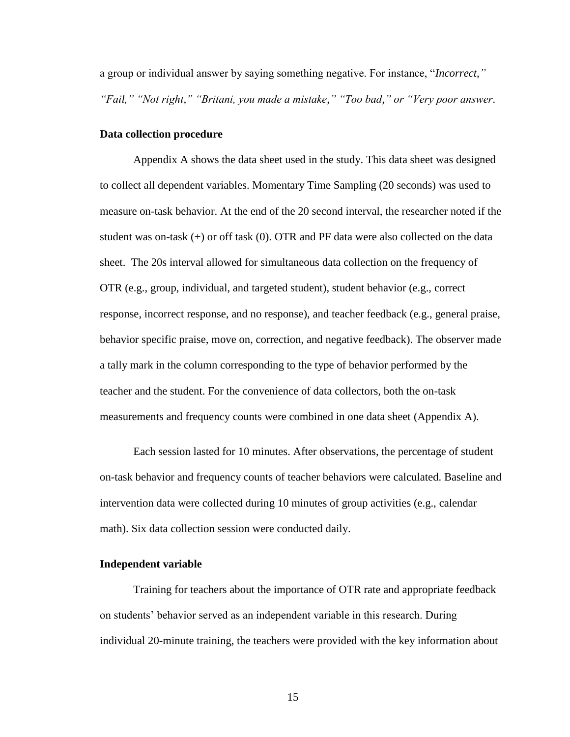a group or individual answer by saying something negative. For instance, "*Incorrect," "Fail," "Not right," "Britani, you made a mistake," "Too bad," or "Very poor answer*.

#### <span id="page-22-0"></span>**Data collection procedure**

Appendix A shows the data sheet used in the study. This data sheet was designed to collect all dependent variables. Momentary Time Sampling (20 seconds) was used to measure on-task behavior. At the end of the 20 second interval, the researcher noted if the student was on-task (+) or off task (0). OTR and PF data were also collected on the data sheet. The 20s interval allowed for simultaneous data collection on the frequency of OTR (e.g., group, individual, and targeted student), student behavior (e.g., correct response, incorrect response, and no response), and teacher feedback (e.g., general praise, behavior specific praise, move on, correction, and negative feedback). The observer made a tally mark in the column corresponding to the type of behavior performed by the teacher and the student. For the convenience of data collectors, both the on-task measurements and frequency counts were combined in one data sheet (Appendix A).

Each session lasted for 10 minutes. After observations, the percentage of student on-task behavior and frequency counts of teacher behaviors were calculated. Baseline and intervention data were collected during 10 minutes of group activities (e.g., calendar math). Six data collection session were conducted daily.

#### <span id="page-22-1"></span>**Independent variable**

Training for teachers about the importance of OTR rate and appropriate feedback on students' behavior served as an independent variable in this research. During individual 20-minute training, the teachers were provided with the key information about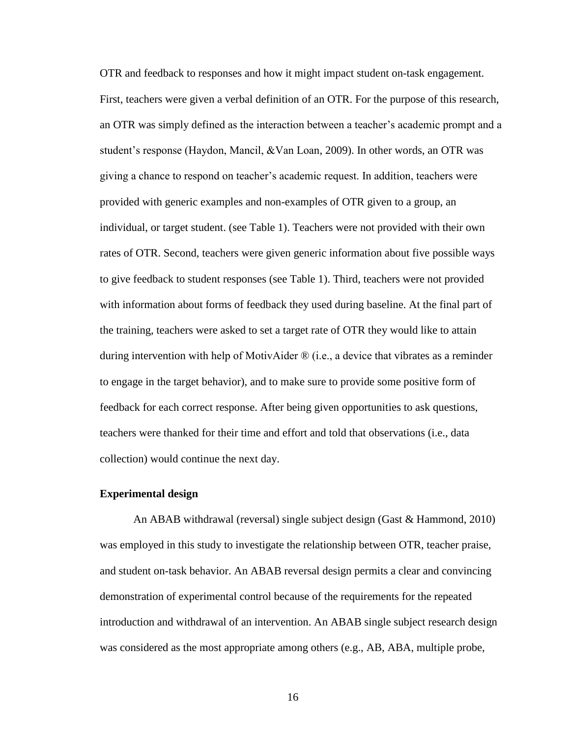OTR and feedback to responses and how it might impact student on-task engagement. First, teachers were given a verbal definition of an OTR. For the purpose of this research, an OTR was simply defined as the interaction between a teacher's academic prompt and a student's response (Haydon, Mancil, &Van Loan, 2009). In other words, an OTR was giving a chance to respond on teacher's academic request. In addition, teachers were provided with generic examples and non-examples of OTR given to a group, an individual, or target student. (see Table 1). Teachers were not provided with their own rates of OTR. Second, teachers were given generic information about five possible ways to give feedback to student responses (see Table 1). Third, teachers were not provided with information about forms of feedback they used during baseline. At the final part of the training, teachers were asked to set a target rate of OTR they would like to attain during intervention with help of MotivAider ® (i.e., a device that vibrates as a reminder to engage in the target behavior), and to make sure to provide some positive form of feedback for each correct response. After being given opportunities to ask questions, teachers were thanked for their time and effort and told that observations (i.e., data collection) would continue the next day.

#### <span id="page-23-0"></span>**Experimental design**

An ABAB withdrawal (reversal) single subject design (Gast & Hammond, 2010) was employed in this study to investigate the relationship between OTR, teacher praise, and student on-task behavior. An ABAB reversal design permits a clear and convincing demonstration of experimental control because of the requirements for the repeated introduction and withdrawal of an intervention. An ABAB single subject research design was considered as the most appropriate among others (e.g., AB, ABA, multiple probe,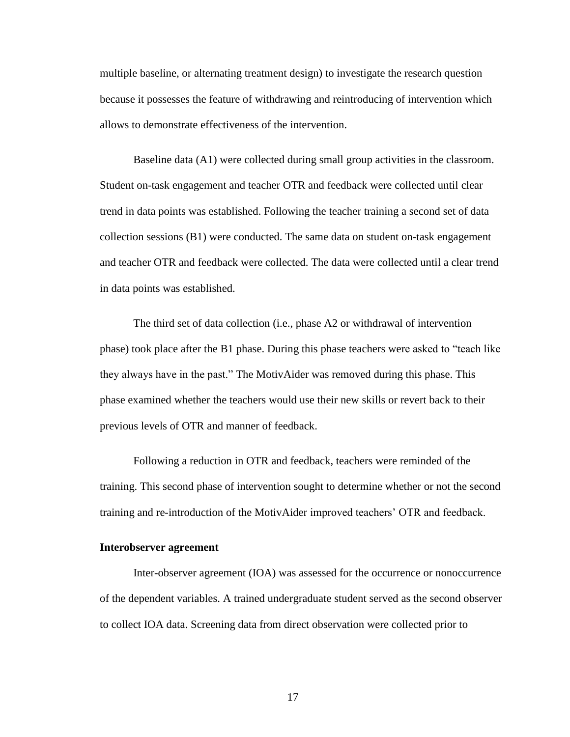multiple baseline, or alternating treatment design) to investigate the research question because it possesses the feature of withdrawing and reintroducing of intervention which allows to demonstrate effectiveness of the intervention.

Baseline data (A1) were collected during small group activities in the classroom. Student on-task engagement and teacher OTR and feedback were collected until clear trend in data points was established. Following the teacher training a second set of data collection sessions (B1) were conducted. The same data on student on-task engagement and teacher OTR and feedback were collected. The data were collected until a clear trend in data points was established.

The third set of data collection (i.e., phase A2 or withdrawal of intervention phase) took place after the B1 phase. During this phase teachers were asked to "teach like they always have in the past." The MotivAider was removed during this phase. This phase examined whether the teachers would use their new skills or revert back to their previous levels of OTR and manner of feedback.

Following a reduction in OTR and feedback, teachers were reminded of the training. This second phase of intervention sought to determine whether or not the second training and re-introduction of the MotivAider improved teachers' OTR and feedback.

#### <span id="page-24-0"></span>**Interobserver agreement**

Inter-observer agreement (IOA) was assessed for the occurrence or nonoccurrence of the dependent variables. A trained undergraduate student served as the second observer to collect IOA data. Screening data from direct observation were collected prior to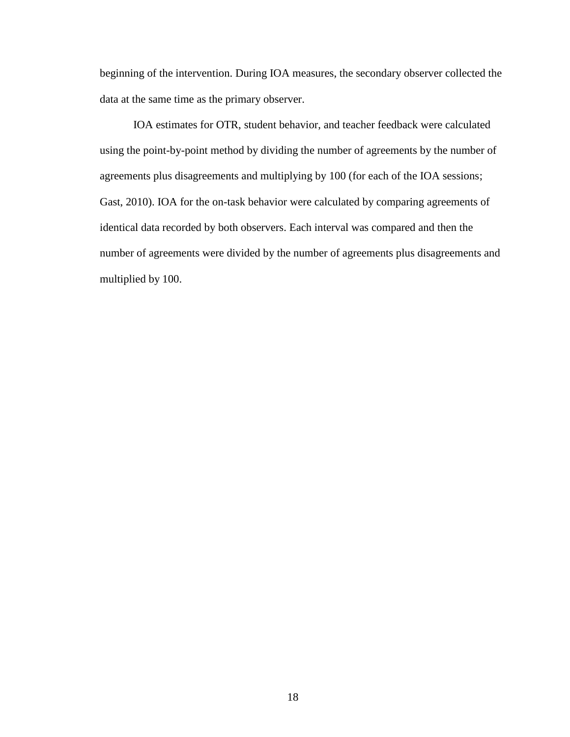beginning of the intervention. During IOA measures, the secondary observer collected the data at the same time as the primary observer.

<span id="page-25-0"></span>IOA estimates for OTR, student behavior, and teacher feedback were calculated using the point-by-point method by dividing the number of agreements by the number of agreements plus disagreements and multiplying by 100 (for each of the IOA sessions; Gast, 2010). IOA for the on-task behavior were calculated by comparing agreements of identical data recorded by both observers. Each interval was compared and then the number of agreements were divided by the number of agreements plus disagreements and multiplied by 100.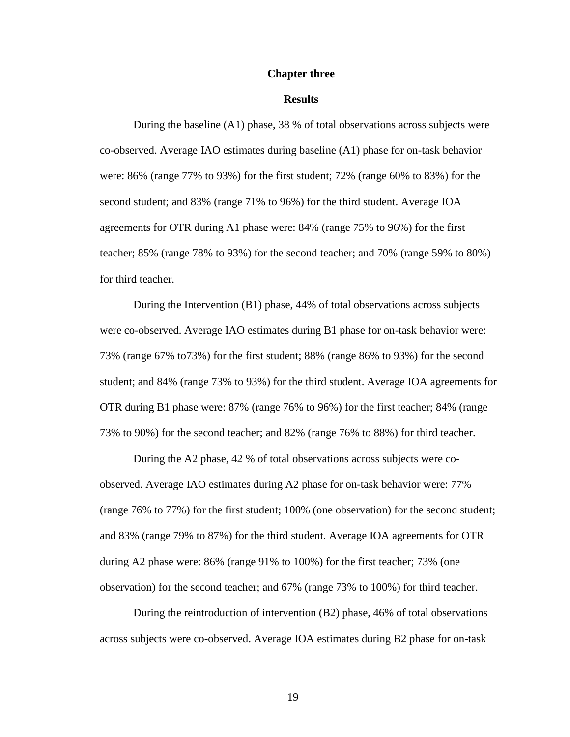#### **Chapter three**

#### **Results**

During the baseline (A1) phase, 38 % of total observations across subjects were co-observed. Average IAO estimates during baseline (A1) phase for on-task behavior were: 86% (range 77% to 93%) for the first student; 72% (range 60% to 83%) for the second student; and 83% (range 71% to 96%) for the third student. Average IOA agreements for OTR during A1 phase were: 84% (range 75% to 96%) for the first teacher; 85% (range 78% to 93%) for the second teacher; and 70% (range 59% to 80%) for third teacher.

During the Intervention (B1) phase, 44% of total observations across subjects were co-observed. Average IAO estimates during B1 phase for on-task behavior were: 73% (range 67% to73%) for the first student; 88% (range 86% to 93%) for the second student; and 84% (range 73% to 93%) for the third student. Average IOA agreements for OTR during B1 phase were: 87% (range 76% to 96%) for the first teacher; 84% (range 73% to 90%) for the second teacher; and 82% (range 76% to 88%) for third teacher.

During the A2 phase, 42 % of total observations across subjects were coobserved. Average IAO estimates during A2 phase for on-task behavior were: 77% (range 76% to 77%) for the first student; 100% (one observation) for the second student; and 83% (range 79% to 87%) for the third student. Average IOA agreements for OTR during A2 phase were: 86% (range 91% to 100%) for the first teacher; 73% (one observation) for the second teacher; and 67% (range 73% to 100%) for third teacher.

During the reintroduction of intervention (B2) phase, 46% of total observations across subjects were co-observed. Average IOA estimates during B2 phase for on-task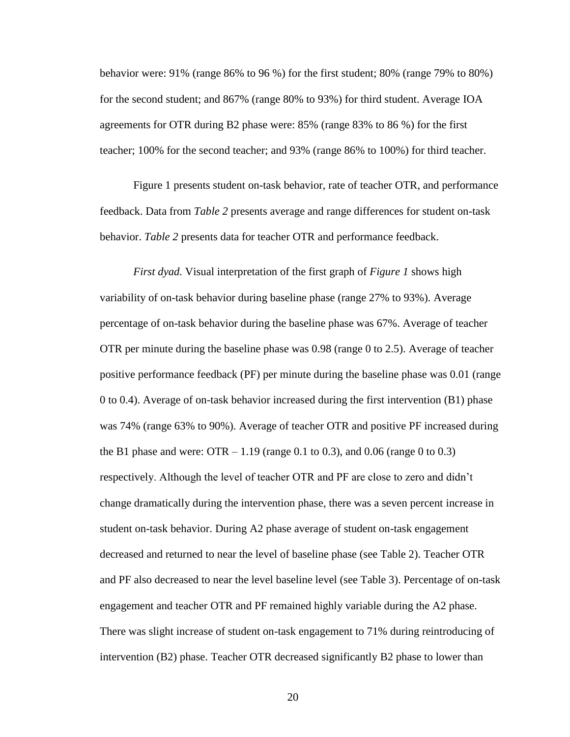behavior were: 91% (range 86% to 96 %) for the first student; 80% (range 79% to 80%) for the second student; and 867% (range 80% to 93%) for third student. Average IOA agreements for OTR during B2 phase were: 85% (range 83% to 86 %) for the first teacher; 100% for the second teacher; and 93% (range 86% to 100%) for third teacher.

Figure 1 presents student on-task behavior, rate of teacher OTR, and performance feedback. Data from *Table 2* presents average and range differences for student on-task behavior. *Table 2* presents data for teacher OTR and performance feedback.

*First dyad.* Visual interpretation of the first graph of *Figure 1* shows high variability of on-task behavior during baseline phase (range 27% to 93%). Average percentage of on-task behavior during the baseline phase was 67%. Average of teacher OTR per minute during the baseline phase was 0.98 (range 0 to 2.5). Average of teacher positive performance feedback (PF) per minute during the baseline phase was 0.01 (range 0 to 0.4). Average of on-task behavior increased during the first intervention (B1) phase was 74% (range 63% to 90%). Average of teacher OTR and positive PF increased during the B1 phase and were:  $\text{OTR} - 1.19$  (range 0.1 to 0.3), and 0.06 (range 0 to 0.3) respectively. Although the level of teacher OTR and PF are close to zero and didn't change dramatically during the intervention phase, there was a seven percent increase in student on-task behavior. During A2 phase average of student on-task engagement decreased and returned to near the level of baseline phase (see Table 2). Teacher OTR and PF also decreased to near the level baseline level (see Table 3). Percentage of on-task engagement and teacher OTR and PF remained highly variable during the A2 phase. There was slight increase of student on-task engagement to 71% during reintroducing of intervention (B2) phase. Teacher OTR decreased significantly B2 phase to lower than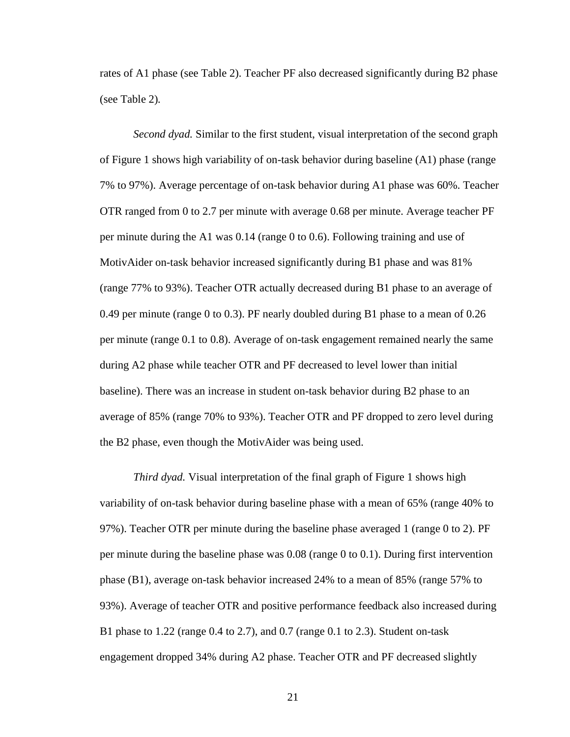rates of A1 phase (see Table 2). Teacher PF also decreased significantly during B2 phase (see Table 2)*.* 

*Second dyad.* Similar to the first student, visual interpretation of the second graph of Figure 1 shows high variability of on-task behavior during baseline (A1) phase (range 7% to 97%). Average percentage of on-task behavior during A1 phase was 60%. Teacher OTR ranged from 0 to 2.7 per minute with average 0.68 per minute. Average teacher PF per minute during the A1 was 0.14 (range 0 to 0.6). Following training and use of MotivAider on-task behavior increased significantly during B1 phase and was 81% (range 77% to 93%). Teacher OTR actually decreased during B1 phase to an average of 0.49 per minute (range 0 to 0.3). PF nearly doubled during B1 phase to a mean of 0.26 per minute (range 0.1 to 0.8). Average of on-task engagement remained nearly the same during A2 phase while teacher OTR and PF decreased to level lower than initial baseline). There was an increase in student on-task behavior during B2 phase to an average of 85% (range 70% to 93%). Teacher OTR and PF dropped to zero level during the B2 phase, even though the MotivAider was being used.

*Third dyad.* Visual interpretation of the final graph of Figure 1 shows high variability of on-task behavior during baseline phase with a mean of 65% (range 40% to 97%). Teacher OTR per minute during the baseline phase averaged 1 (range 0 to 2). PF per minute during the baseline phase was 0.08 (range 0 to 0.1). During first intervention phase (B1), average on-task behavior increased 24% to a mean of 85% (range 57% to 93%). Average of teacher OTR and positive performance feedback also increased during B1 phase to 1.22 (range 0.4 to 2.7), and 0.7 (range 0.1 to 2.3). Student on-task engagement dropped 34% during A2 phase. Teacher OTR and PF decreased slightly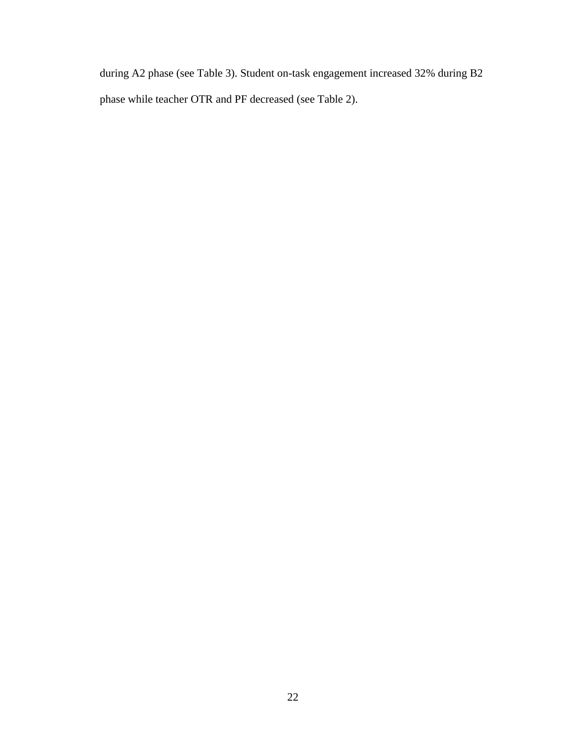during A2 phase (see Table 3). Student on-task engagement increased 32% during B2 phase while teacher OTR and PF decreased (see Table 2).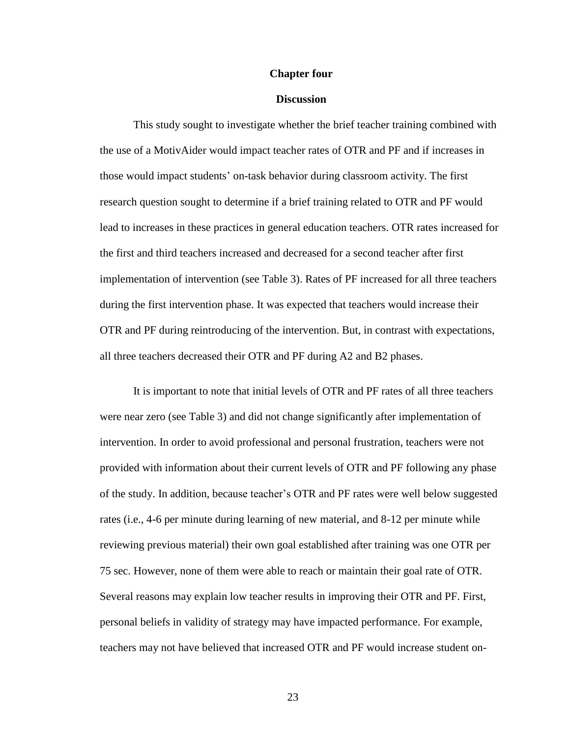#### **Chapter four**

#### **Discussion**

<span id="page-30-0"></span>This study sought to investigate whether the brief teacher training combined with the use of a MotivAider would impact teacher rates of OTR and PF and if increases in those would impact students' on-task behavior during classroom activity. The first research question sought to determine if a brief training related to OTR and PF would lead to increases in these practices in general education teachers. OTR rates increased for the first and third teachers increased and decreased for a second teacher after first implementation of intervention (see Table 3). Rates of PF increased for all three teachers during the first intervention phase. It was expected that teachers would increase their OTR and PF during reintroducing of the intervention. But, in contrast with expectations, all three teachers decreased their OTR and PF during A2 and B2 phases.

It is important to note that initial levels of OTR and PF rates of all three teachers were near zero (see Table 3) and did not change significantly after implementation of intervention. In order to avoid professional and personal frustration, teachers were not provided with information about their current levels of OTR and PF following any phase of the study. In addition, because teacher's OTR and PF rates were well below suggested rates (i.e., 4-6 per minute during learning of new material, and 8-12 per minute while reviewing previous material) their own goal established after training was one OTR per 75 sec. However, none of them were able to reach or maintain their goal rate of OTR. Several reasons may explain low teacher results in improving their OTR and PF. First, personal beliefs in validity of strategy may have impacted performance. For example, teachers may not have believed that increased OTR and PF would increase student on-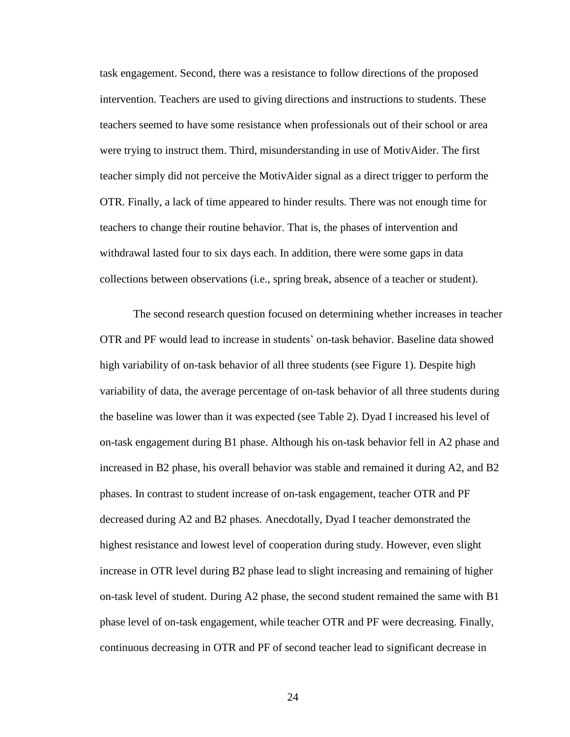task engagement. Second, there was a resistance to follow directions of the proposed intervention. Teachers are used to giving directions and instructions to students. These teachers seemed to have some resistance when professionals out of their school or area were trying to instruct them. Third, misunderstanding in use of MotivAider. The first teacher simply did not perceive the MotivAider signal as a direct trigger to perform the OTR. Finally, a lack of time appeared to hinder results. There was not enough time for teachers to change their routine behavior. That is, the phases of intervention and withdrawal lasted four to six days each. In addition, there were some gaps in data collections between observations (i.e., spring break, absence of a teacher or student).

The second research question focused on determining whether increases in teacher OTR and PF would lead to increase in students' on-task behavior. Baseline data showed high variability of on-task behavior of all three students (see Figure 1). Despite high variability of data, the average percentage of on-task behavior of all three students during the baseline was lower than it was expected (see Table 2). Dyad I increased his level of on-task engagement during B1 phase. Although his on-task behavior fell in A2 phase and increased in B2 phase, his overall behavior was stable and remained it during A2, and B2 phases. In contrast to student increase of on-task engagement, teacher OTR and PF decreased during A2 and B2 phases. Anecdotally, Dyad I teacher demonstrated the highest resistance and lowest level of cooperation during study. However, even slight increase in OTR level during B2 phase lead to slight increasing and remaining of higher on-task level of student. During A2 phase, the second student remained the same with B1 phase level of on-task engagement, while teacher OTR and PF were decreasing. Finally, continuous decreasing in OTR and PF of second teacher lead to significant decrease in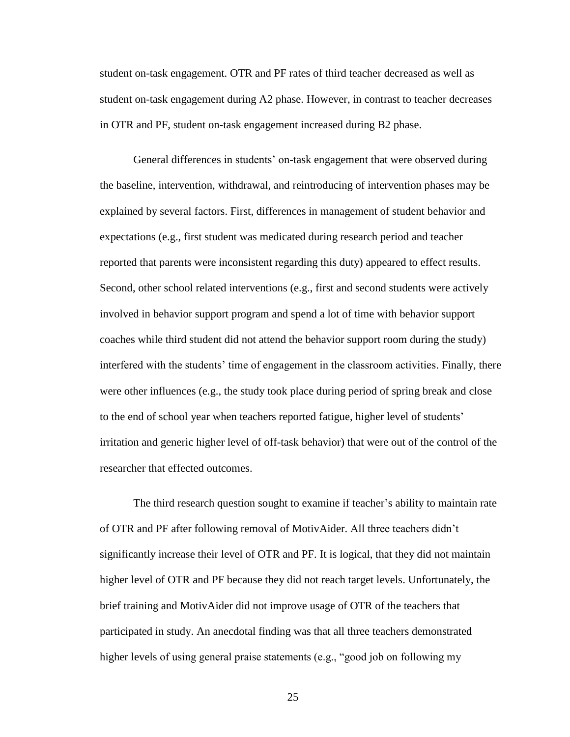student on-task engagement. OTR and PF rates of third teacher decreased as well as student on-task engagement during A2 phase. However, in contrast to teacher decreases in OTR and PF, student on-task engagement increased during B2 phase.

General differences in students' on-task engagement that were observed during the baseline, intervention, withdrawal, and reintroducing of intervention phases may be explained by several factors. First, differences in management of student behavior and expectations (e.g., first student was medicated during research period and teacher reported that parents were inconsistent regarding this duty) appeared to effect results. Second, other school related interventions (e.g., first and second students were actively involved in behavior support program and spend a lot of time with behavior support coaches while third student did not attend the behavior support room during the study) interfered with the students' time of engagement in the classroom activities. Finally, there were other influences (e.g., the study took place during period of spring break and close to the end of school year when teachers reported fatigue, higher level of students' irritation and generic higher level of off-task behavior) that were out of the control of the researcher that effected outcomes.

The third research question sought to examine if teacher's ability to maintain rate of OTR and PF after following removal of MotivAider. All three teachers didn't significantly increase their level of OTR and PF. It is logical, that they did not maintain higher level of OTR and PF because they did not reach target levels. Unfortunately, the brief training and MotivAider did not improve usage of OTR of the teachers that participated in study. An anecdotal finding was that all three teachers demonstrated higher levels of using general praise statements (e.g., "good job on following my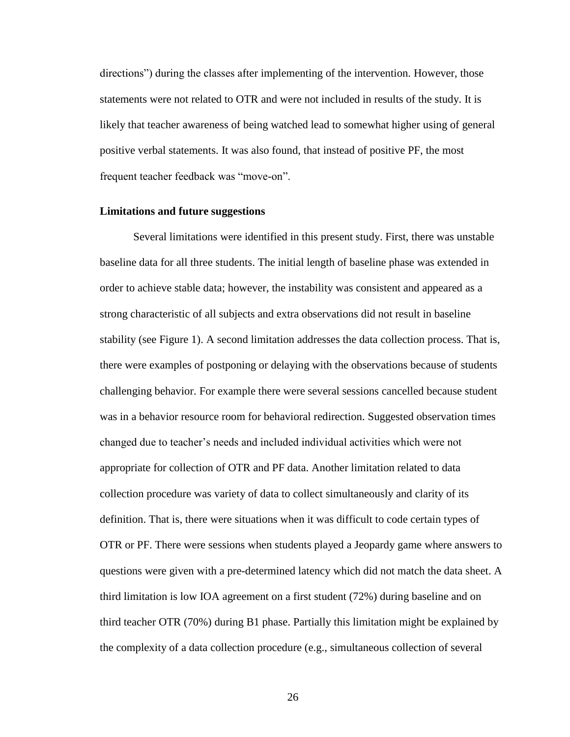directions") during the classes after implementing of the intervention. However, those statements were not related to OTR and were not included in results of the study. It is likely that teacher awareness of being watched lead to somewhat higher using of general positive verbal statements. It was also found, that instead of positive PF, the most frequent teacher feedback was "move-on".

#### <span id="page-33-0"></span>**Limitations and future suggestions**

Several limitations were identified in this present study. First, there was unstable baseline data for all three students. The initial length of baseline phase was extended in order to achieve stable data; however, the instability was consistent and appeared as a strong characteristic of all subjects and extra observations did not result in baseline stability (see Figure 1). A second limitation addresses the data collection process. That is, there were examples of postponing or delaying with the observations because of students challenging behavior. For example there were several sessions cancelled because student was in a behavior resource room for behavioral redirection. Suggested observation times changed due to teacher's needs and included individual activities which were not appropriate for collection of OTR and PF data. Another limitation related to data collection procedure was variety of data to collect simultaneously and clarity of its definition. That is, there were situations when it was difficult to code certain types of OTR or PF. There were sessions when students played a Jeopardy game where answers to questions were given with a pre-determined latency which did not match the data sheet. A third limitation is low IOA agreement on a first student (72%) during baseline and on third teacher OTR (70%) during B1 phase. Partially this limitation might be explained by the complexity of a data collection procedure (e.g., simultaneous collection of several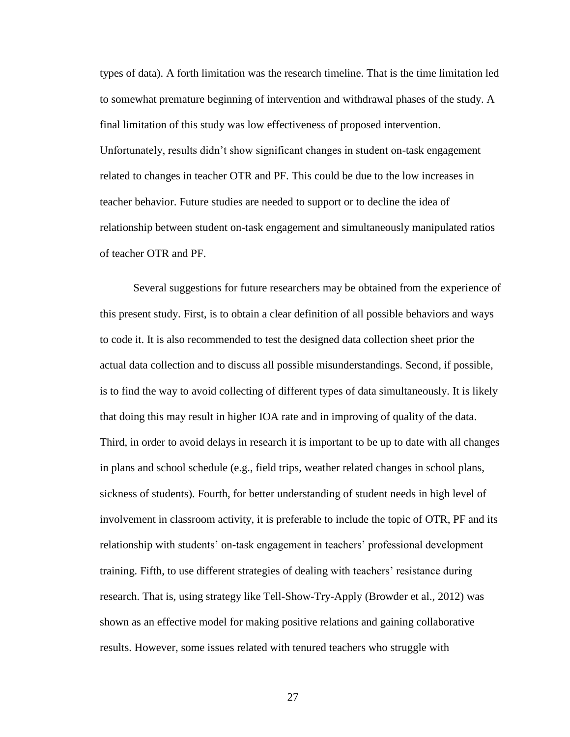types of data). A forth limitation was the research timeline. That is the time limitation led to somewhat premature beginning of intervention and withdrawal phases of the study. A final limitation of this study was low effectiveness of proposed intervention. Unfortunately, results didn't show significant changes in student on-task engagement related to changes in teacher OTR and PF. This could be due to the low increases in teacher behavior. Future studies are needed to support or to decline the idea of relationship between student on-task engagement and simultaneously manipulated ratios of teacher OTR and PF.

Several suggestions for future researchers may be obtained from the experience of this present study. First, is to obtain a clear definition of all possible behaviors and ways to code it. It is also recommended to test the designed data collection sheet prior the actual data collection and to discuss all possible misunderstandings. Second, if possible, is to find the way to avoid collecting of different types of data simultaneously. It is likely that doing this may result in higher IOA rate and in improving of quality of the data. Third, in order to avoid delays in research it is important to be up to date with all changes in plans and school schedule (e.g., field trips, weather related changes in school plans, sickness of students). Fourth, for better understanding of student needs in high level of involvement in classroom activity, it is preferable to include the topic of OTR, PF and its relationship with students' on-task engagement in teachers' professional development training. Fifth, to use different strategies of dealing with teachers' resistance during research. That is, using strategy like Tell-Show-Try-Apply (Browder et al., 2012) was shown as an effective model for making positive relations and gaining collaborative results. However, some issues related with tenured teachers who struggle with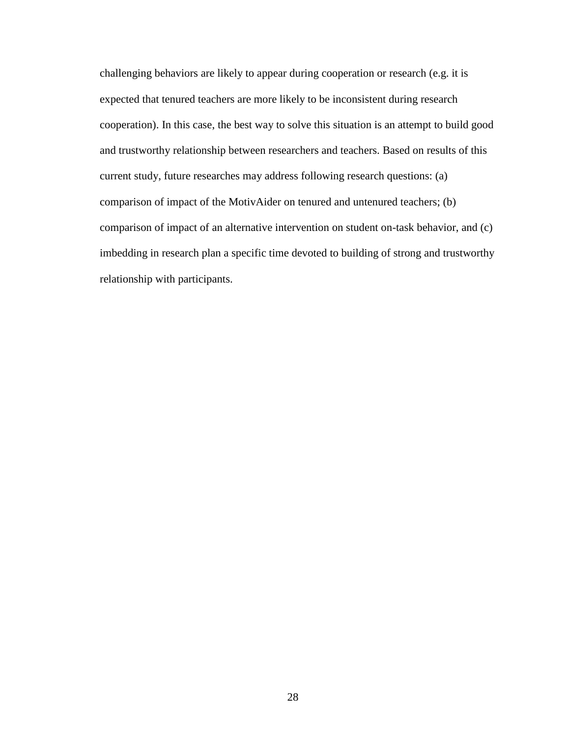challenging behaviors are likely to appear during cooperation or research (e.g. it is expected that tenured teachers are more likely to be inconsistent during research cooperation). In this case, the best way to solve this situation is an attempt to build good and trustworthy relationship between researchers and teachers. Based on results of this current study, future researches may address following research questions: (a) comparison of impact of the MotivAider on tenured and untenured teachers; (b) comparison of impact of an alternative intervention on student on-task behavior, and (c) imbedding in research plan a specific time devoted to building of strong and trustworthy relationship with participants.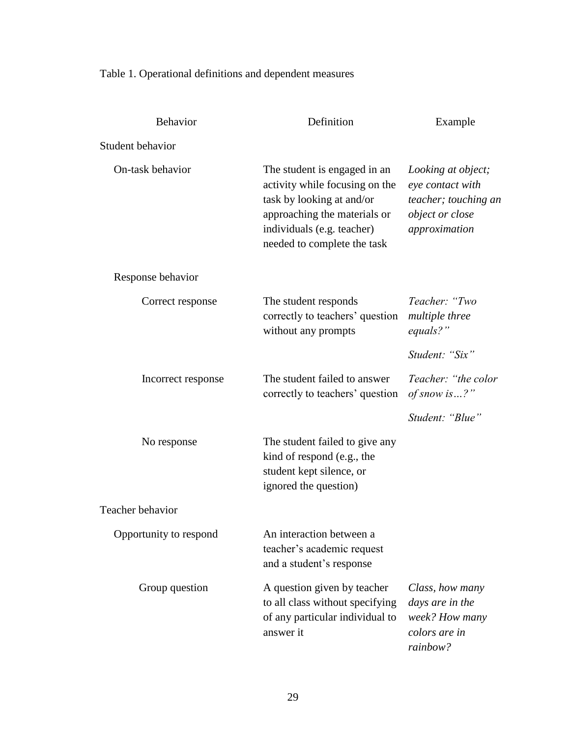Table 1. Operational definitions and dependent measures

| Behavior               | Definition                                                                                                                                                                               | Example                                                                                            |  |  |
|------------------------|------------------------------------------------------------------------------------------------------------------------------------------------------------------------------------------|----------------------------------------------------------------------------------------------------|--|--|
| Student behavior       |                                                                                                                                                                                          |                                                                                                    |  |  |
| On-task behavior       | The student is engaged in an<br>activity while focusing on the<br>task by looking at and/or<br>approaching the materials or<br>individuals (e.g. teacher)<br>needed to complete the task | Looking at object;<br>eye contact with<br>teacher; touching an<br>object or close<br>approximation |  |  |
| Response behavior      |                                                                                                                                                                                          |                                                                                                    |  |  |
| Correct response       | The student responds<br>correctly to teachers' question<br>without any prompts                                                                                                           | Teacher: "Two<br><i>multiple three</i><br>equals?"                                                 |  |  |
|                        |                                                                                                                                                                                          | Student: "Six"                                                                                     |  |  |
| Incorrect response     | The student failed to answer<br>correctly to teachers' question                                                                                                                          | Teacher: "the color<br>of snow is ?"                                                               |  |  |
|                        |                                                                                                                                                                                          | Student: "Blue"                                                                                    |  |  |
| No response            | The student failed to give any<br>kind of respond (e.g., the<br>student kept silence, or<br>ignored the question)                                                                        |                                                                                                    |  |  |
| Teacher behavior       |                                                                                                                                                                                          |                                                                                                    |  |  |
| Opportunity to respond | An interaction between a<br>teacher's academic request<br>and a student's response                                                                                                       |                                                                                                    |  |  |
| Group question         | A question given by teacher<br>to all class without specifying<br>of any particular individual to<br>answer it                                                                           | Class, how many<br>days are in the<br>week? How many<br>colors are in<br>rainbow?                  |  |  |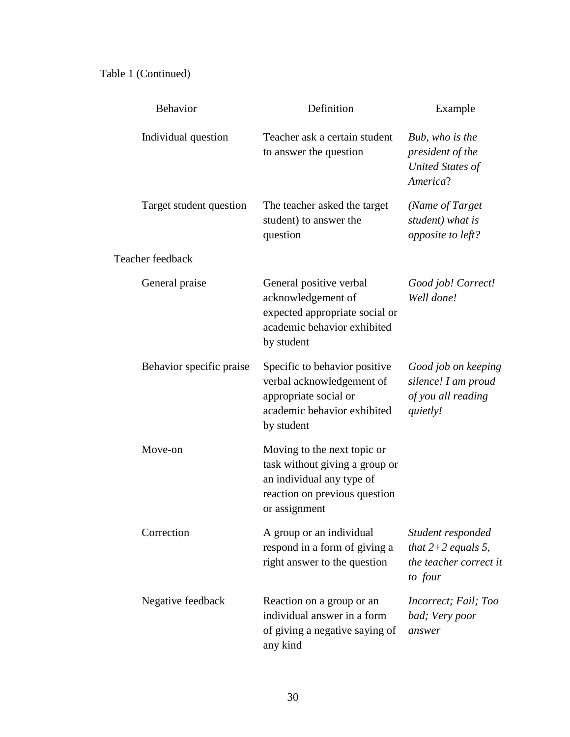# Table 1 (Continued)

| Behavior                 | Definition                                                                                                                                   | Example                                                                        |  |  |  |  |
|--------------------------|----------------------------------------------------------------------------------------------------------------------------------------------|--------------------------------------------------------------------------------|--|--|--|--|
| Individual question      | Teacher ask a certain student<br>to answer the question                                                                                      | Bub, who is the<br>president of the<br><b>United States of</b><br>America?     |  |  |  |  |
| Target student question  | The teacher asked the target<br>student) to answer the<br>question                                                                           | (Name of Target)<br>student) what is<br>opposite to left?                      |  |  |  |  |
| Teacher feedback         |                                                                                                                                              |                                                                                |  |  |  |  |
| General praise           | General positive verbal<br>acknowledgement of<br>expected appropriate social or<br>academic behavior exhibited<br>by student                 | Good job! Correct!<br>Well done!                                               |  |  |  |  |
| Behavior specific praise | Specific to behavior positive<br>verbal acknowledgement of<br>appropriate social or<br>academic behavior exhibited<br>by student             | Good job on keeping<br>silence! I am proud<br>of you all reading<br>quietly!   |  |  |  |  |
| Move-on                  | Moving to the next topic or<br>task without giving a group or<br>an individual any type of<br>reaction on previous question<br>or assignment |                                                                                |  |  |  |  |
| Correction               | A group or an individual<br>respond in a form of giving a<br>right answer to the question                                                    | Student responded<br>that $2+2$ equals 5,<br>the teacher correct it<br>to four |  |  |  |  |
| Negative feedback        | Reaction on a group or an<br>individual answer in a form<br>of giving a negative saying of<br>any kind                                       | Incorrect; Fail; Too<br>bad; Very poor<br>answer                               |  |  |  |  |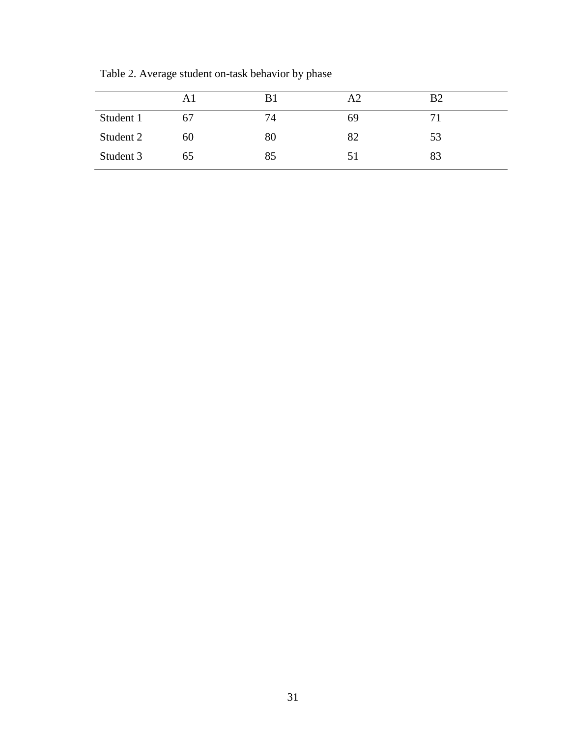|           | Αl | B1 | A2 | B <sub>2</sub> |  |
|-----------|----|----|----|----------------|--|
| Student 1 | 67 | 74 | 69 | 7 <sub>1</sub> |  |
| Student 2 | 60 | 80 | 82 | 53             |  |
| Student 3 | 65 | 85 | 51 | 83             |  |

Table 2. Average student on-task behavior by phase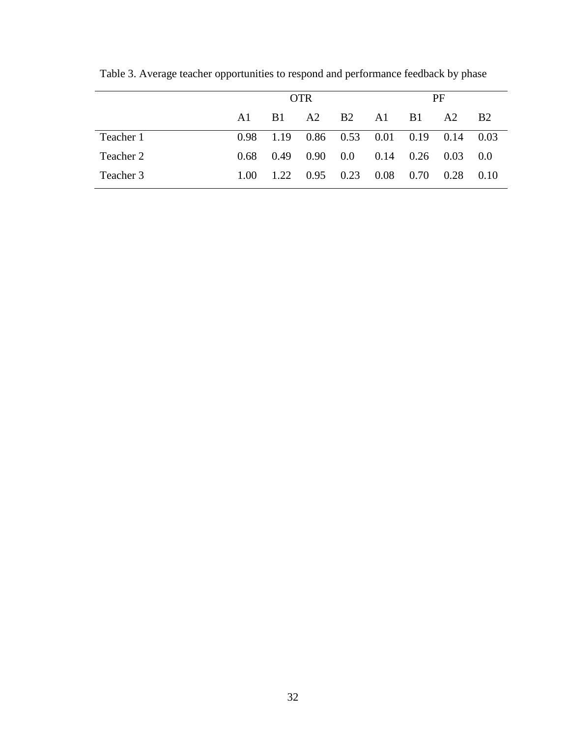|           | <b>OTR</b> |            |                   |                   | PF                          |            |      |           |
|-----------|------------|------------|-------------------|-------------------|-----------------------------|------------|------|-----------|
|           | A1         | <b>B</b> 1 | A2                | <b>B2</b>         | A1                          | <b>B</b> 1 | A2   | <b>B2</b> |
| Teacher 1 | 0.98       | 1.19       |                   |                   | $0.86$ $0.53$ $0.01$ $0.19$ |            | 0.14 | - 0.03    |
| Teacher 2 | 0.68       | 0.49       | 0.90 <sub>1</sub> | $0.0\,$           | 0.14                        | 0.26       | 0.03 | 0.0       |
| Teacher 3 | 1.00       | 1.22       |                   | $0.95 \quad 0.23$ | 0.08                        | 0.70       | 0.28 | 0.10      |

Table 3. Average teacher opportunities to respond and performance feedback by phase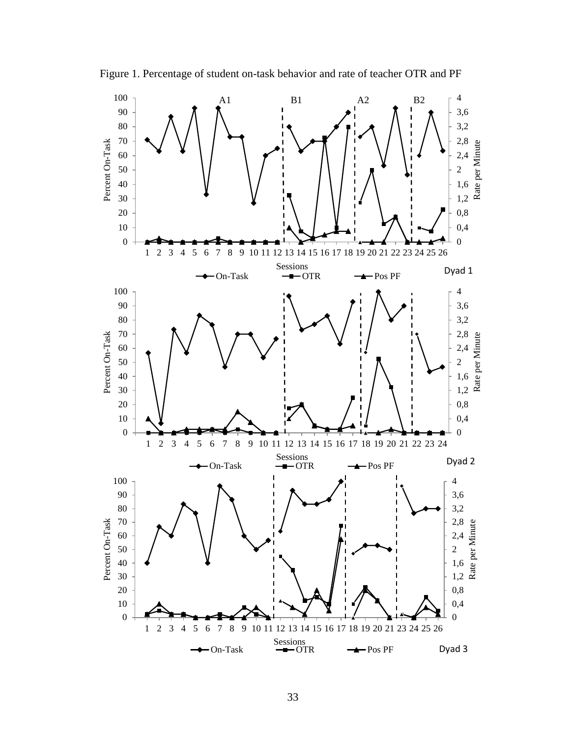

Figure 1. Percentage of student on-task behavior and rate of teacher OTR and PF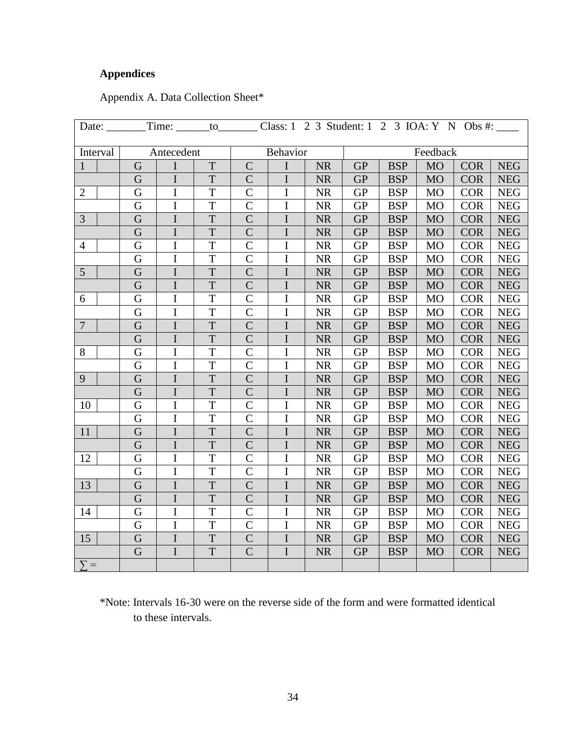# <span id="page-41-0"></span>**Appendices**

<span id="page-41-1"></span>

| Appendix A. Data Collection Sheet* |  |  |  |
|------------------------------------|--|--|--|
|------------------------------------|--|--|--|

| Date: $\_\_$     | Time: _______to_________<br>Class: $1 \quad 2 \quad 3$ Student: $1 \quad 2 \quad 3 \quad \text{IOA: Y} \quad N \quad \text{Obs } \#:$ |                                    |                |                |                |           |            |            |           |            |            |
|------------------|---------------------------------------------------------------------------------------------------------------------------------------|------------------------------------|----------------|----------------|----------------|-----------|------------|------------|-----------|------------|------------|
| Interval         |                                                                                                                                       | Feedback<br>Behavior<br>Antecedent |                |                |                |           |            |            |           |            |            |
| $\mathbf{1}$     | G                                                                                                                                     | $\mathbf I$                        | T              | $\overline{C}$ | $\mathbf I$    | <b>NR</b> | <b>GP</b>  | <b>BSP</b> | <b>MO</b> | <b>COR</b> | <b>NEG</b> |
|                  | G                                                                                                                                     | $\mathbf I$                        | $\mathbf T$    | $\overline{C}$ | $\mathbf I$    | <b>NR</b> | <b>GP</b>  | <b>BSP</b> | <b>MO</b> | <b>COR</b> | <b>NEG</b> |
| $\overline{2}$   | G                                                                                                                                     | $\bf I$                            | $\overline{T}$ | $\mathbf C$    | $\mathbf I$    | <b>NR</b> | <b>GP</b>  | <b>BSP</b> | <b>MO</b> | <b>COR</b> | <b>NEG</b> |
|                  | G                                                                                                                                     | $\mathbf I$                        | $\mathbf T$    | $\mathcal{C}$  | $\bf I$        | <b>NR</b> | <b>GP</b>  | <b>BSP</b> | <b>MO</b> | <b>COR</b> | <b>NEG</b> |
| 3                | G                                                                                                                                     | $\mathbf I$                        | $\overline{T}$ | $\overline{C}$ | $\bf I$        | <b>NR</b> | <b>GP</b>  | <b>BSP</b> | <b>MO</b> | <b>COR</b> | <b>NEG</b> |
|                  | G                                                                                                                                     | $\bf I$                            | $\mathbf T$    | $\overline{C}$ | $\bf I$        | <b>NR</b> | <b>GP</b>  | <b>BSP</b> | <b>MO</b> | <b>COR</b> | <b>NEG</b> |
| $\overline{4}$   | G                                                                                                                                     | $\mathbf I$                        | $\mathbf T$    | $\overline{C}$ | $\mathbf I$    | <b>NR</b> | ${\rm GP}$ | <b>BSP</b> | <b>MO</b> | <b>COR</b> | <b>NEG</b> |
|                  | G                                                                                                                                     | $\mathbf I$                        | $\overline{T}$ | $\overline{C}$ | $\mathbf I$    | <b>NR</b> | GP         | <b>BSP</b> | <b>MO</b> | <b>COR</b> | <b>NEG</b> |
| 5                | G                                                                                                                                     | $\mathbf I$                        | $\overline{T}$ | $\overline{C}$ | $\mathbf I$    | <b>NR</b> | <b>GP</b>  | <b>BSP</b> | <b>MO</b> | <b>COR</b> | <b>NEG</b> |
|                  | G                                                                                                                                     | $\mathbf I$                        | $\mathbf T$    | $\overline{C}$ | $\bf I$        | <b>NR</b> | <b>GP</b>  | <b>BSP</b> | <b>MO</b> | <b>COR</b> | <b>NEG</b> |
| 6                | G                                                                                                                                     | I                                  | T              | $\overline{C}$ | $\overline{I}$ | <b>NR</b> | <b>GP</b>  | <b>BSP</b> | <b>MO</b> | <b>COR</b> | <b>NEG</b> |
|                  | G                                                                                                                                     | $\mathbf I$                        | $\mathbf T$    | $\overline{C}$ | $\bf I$        | <b>NR</b> | <b>GP</b>  | <b>BSP</b> | <b>MO</b> | <b>COR</b> | <b>NEG</b> |
| $\overline{7}$   | G                                                                                                                                     | $\bf I$                            | $\mathbf T$    | $\overline{C}$ | $\bf I$        | <b>NR</b> | <b>GP</b>  | <b>BSP</b> | <b>MO</b> | <b>COR</b> | <b>NEG</b> |
|                  | G                                                                                                                                     | $\mathbf I$                        | $\mathbf T$    | $\mathsf{C}$   | $\mathbf I$    | <b>NR</b> | <b>GP</b>  | <b>BSP</b> | <b>MO</b> | <b>COR</b> | <b>NEG</b> |
| $8\,$            | G                                                                                                                                     | $\mathbf I$                        | $\overline{T}$ | $\mathcal{C}$  | $\bf I$        | NR        | <b>GP</b>  | <b>BSP</b> | <b>MO</b> | <b>COR</b> | <b>NEG</b> |
|                  | G                                                                                                                                     | $\mathbf I$                        | $\overline{T}$ | $\overline{C}$ | $\overline{I}$ | NR        | <b>GP</b>  | <b>BSP</b> | <b>MO</b> | <b>COR</b> | <b>NEG</b> |
| 9                | G                                                                                                                                     | $\mathbf I$                        | $\mathbf T$    | $\overline{C}$ | $\bf I$        | <b>NR</b> | GP         | <b>BSP</b> | <b>MO</b> | <b>COR</b> | <b>NEG</b> |
|                  | G                                                                                                                                     | $\mathbf I$                        | T              | $\mathcal{C}$  | $\mathbf I$    | <b>NR</b> | <b>GP</b>  | <b>BSP</b> | <b>MO</b> | <b>COR</b> | <b>NEG</b> |
| 10               | G                                                                                                                                     | $\mathbf I$                        | $\mathbf T$    | $\mathcal{C}$  | $\mathbf I$    | <b>NR</b> | ${\rm GP}$ | <b>BSP</b> | <b>MO</b> | <b>COR</b> | <b>NEG</b> |
|                  | G                                                                                                                                     | $\mathbf I$                        | $\mathbf T$    | $\mathcal{C}$  | $\bf I$        | <b>NR</b> | GP         | <b>BSP</b> | <b>MO</b> | <b>COR</b> | <b>NEG</b> |
| 11               | G                                                                                                                                     | $\mathbf I$                        | T              | $\overline{C}$ | $\overline{I}$ | <b>NR</b> | <b>GP</b>  | <b>BSP</b> | <b>MO</b> | <b>COR</b> | <b>NEG</b> |
|                  | G                                                                                                                                     | I                                  | $\overline{T}$ | $\overline{C}$ | $\mathbf I$    | <b>NR</b> | GP         | <b>BSP</b> | <b>MO</b> | <b>COR</b> | <b>NEG</b> |
| 12               | G                                                                                                                                     | $\mathbf I$                        | T              | $\mathcal{C}$  | I              | <b>NR</b> | <b>GP</b>  | <b>BSP</b> | <b>MO</b> | <b>COR</b> | <b>NEG</b> |
|                  | G                                                                                                                                     | $\mathbf I$                        | $\mathbf T$    | $\overline{C}$ | $\mathbf I$    | <b>NR</b> | <b>GP</b>  | <b>BSP</b> | <b>MO</b> | <b>COR</b> | <b>NEG</b> |
| 13               | G                                                                                                                                     | I                                  | T              | $\overline{C}$ | $\bf I$        | <b>NR</b> | <b>GP</b>  | <b>BSP</b> | <b>MO</b> | <b>COR</b> | <b>NEG</b> |
|                  | G                                                                                                                                     | $\bf I$                            | $\mathbf T$    | $\overline{C}$ | $\bf I$        | <b>NR</b> | <b>GP</b>  | <b>BSP</b> | <b>MO</b> | <b>COR</b> | <b>NEG</b> |
| 14               | G                                                                                                                                     | $\bf I$                            | $\mathbf T$    | $\overline{C}$ | $\rm I$        | <b>NR</b> | ${\rm GP}$ | <b>BSP</b> | <b>MO</b> | <b>COR</b> | <b>NEG</b> |
|                  | G                                                                                                                                     | $\mathbf I$                        | T              | $\overline{C}$ | $\mathbf I$    | <b>NR</b> | GP         | <b>BSP</b> | <b>MO</b> | <b>COR</b> | <b>NEG</b> |
| 15               | G                                                                                                                                     | $\mathbf I$                        | $\mathbf T$    | $\mathcal{C}$  | $\mathbf I$    | <b>NR</b> | GP         | <b>BSP</b> | <b>MO</b> | <b>COR</b> | <b>NEG</b> |
|                  | G                                                                                                                                     | $\mathbf I$                        | $\mathbf T$    | $\overline{C}$ | $\mathbf I$    | <b>NR</b> | <b>GP</b>  | <b>BSP</b> | <b>MO</b> | <b>COR</b> | <b>NEG</b> |
| $\sum_{i=1}^{n}$ |                                                                                                                                       |                                    |                |                |                |           |            |            |           |            |            |

\*Note: Intervals 16-30 were on the reverse side of the form and were formatted identical to these intervals.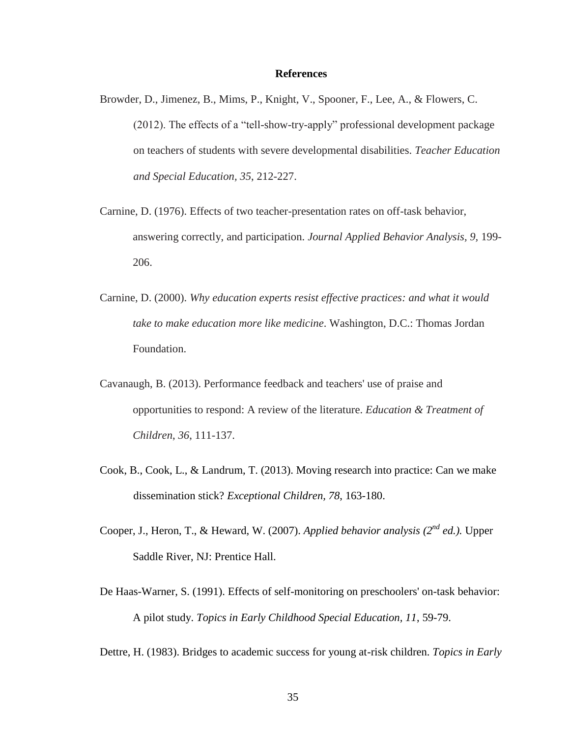#### **References**

- <span id="page-42-0"></span>Browder, D., Jimenez, B., Mims, P., Knight, V., Spooner, F., Lee, A., & Flowers, C. (2012). The effects of a "tell-show-try-apply" professional development package on teachers of students with severe developmental disabilities. *Teacher Education and Special Education, 35*, 212-227.
- Carnine, D. (1976). Effects of two teacher-presentation rates on off-task behavior, answering correctly, and participation. *Journal Applied Behavior Analysis, 9,* 199- 206.
- Carnine, D. (2000). *Why education experts resist effective practices: and what it would take to make education more like medicine*. Washington, D.C.: Thomas Jordan Foundation.
- Cavanaugh, B. (2013). Performance feedback and teachers' use of praise and opportunities to respond: A review of the literature. *Education & Treatment of Children*, *36*, 111-137.
- Cook, B., Cook, L., & Landrum, T. (2013). Moving research into practice: Can we make dissemination stick? *Exceptional Children, 78*, 163-180.
- Cooper, J., Heron, T., & Heward, W. (2007). *Applied behavior analysis* (2<sup>nd</sup> ed.). Upper Saddle River, NJ: Prentice Hall.
- De Haas-Warner, S. (1991). Effects of self-monitoring on preschoolers' on-task behavior: A pilot study. *Topics in Early Childhood Special Education, 11*, 59-79.

Dettre, H. (1983). Bridges to academic success for young at-risk children. *Topics in Early*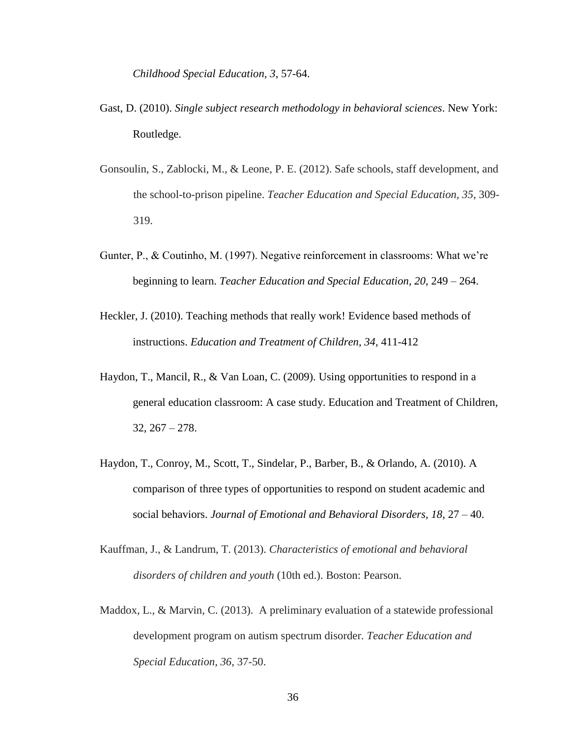*Childhood Special Education, 3*, 57-64.

- Gast, D. (2010). *Single subject research methodology in behavioral sciences*. New York: Routledge.
- Gonsoulin, S., Zablocki, M., & Leone, P. E. (2012). Safe schools, staff development, and the school-to-prison pipeline. *Teacher Education and Special Education, 35*, 309- 319.
- Gunter, P., & Coutinho, M. (1997). Negative reinforcement in classrooms: What we're beginning to learn. *Teacher Education and Special Education, 20,* 249 – 264.
- Heckler, J. (2010). Teaching methods that really work! Evidence based methods of instructions. *Education and Treatment of Children, 34,* 411-412
- Haydon, T., Mancil, R., & Van Loan, C. (2009). Using opportunities to respond in a general education classroom: A case study. Education and Treatment of Children,  $32, 267 - 278.$
- Haydon, T., Conroy, M., Scott, T., Sindelar, P., Barber, B., & Orlando, A. (2010). A comparison of three types of opportunities to respond on student academic and social behaviors. *Journal of Emotional and Behavioral Disorders, 18,* 27 – 40.
- Kauffman, J., & Landrum, T. (2013). *Characteristics of emotional and behavioral disorders of children and youth* (10th ed.). Boston: Pearson.
- Maddox, L., & Marvin, C. (2013). A preliminary evaluation of a statewide professional development program on autism spectrum disorder. *Teacher Education and Special Education, 36*, 37-50.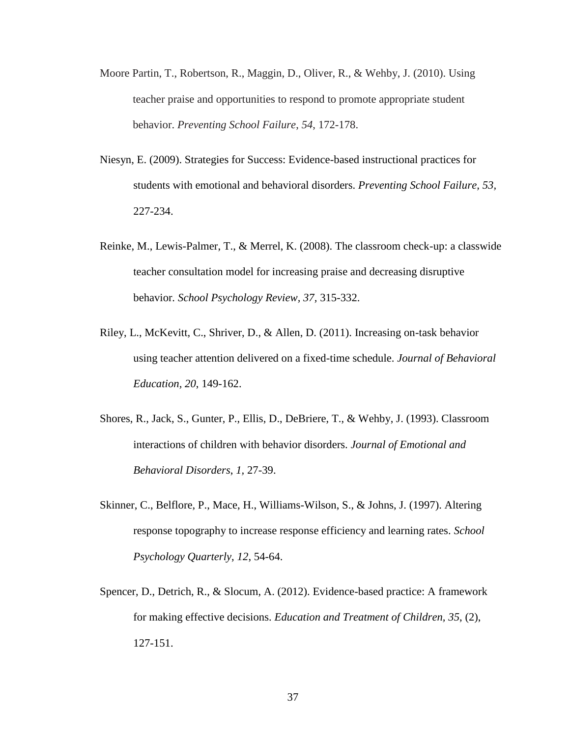- Moore Partin, T., Robertson, R., Maggin, D., Oliver, R., & Wehby, J. (2010). Using teacher praise and opportunities to respond to promote appropriate student behavior. *Preventing School Failure*, *54*, 172-178.
- Niesyn, E. (2009). Strategies for Success: Evidence-based instructional practices for students with emotional and behavioral disorders. *Preventing School Failure, 53,* 227-234.
- Reinke, M., Lewis-Palmer, T., & Merrel, K. (2008). The classroom check-up: a classwide teacher consultation model for increasing praise and decreasing disruptive behavior*. School Psychology Review, 37,* 315-332.
- Riley, L., McKevitt, C., Shriver, D., & Allen, D. (2011). Increasing on-task behavior using teacher attention delivered on a fixed-time schedule. *Journal of Behavioral Education, 20*, 149-162.
- Shores, R., Jack, S., Gunter, P., Ellis, D., DeBriere, T., & Wehby, J. (1993). Classroom interactions of children with behavior disorders. *Journal of Emotional and Behavioral Disorders*, *1,* 27-39.
- Skinner, C., Belflore, P., Mace, H., Williams-Wilson, S., & Johns, J. (1997). Altering response topography to increase response efficiency and learning rates. *School Psychology Quarterly*, *12*, 54-64.
- Spencer, D., Detrich, R., & Slocum, A. (2012). Evidence-based practice: A framework for making effective decisions. *Education and Treatment of Children, 35*, (2), 127-151.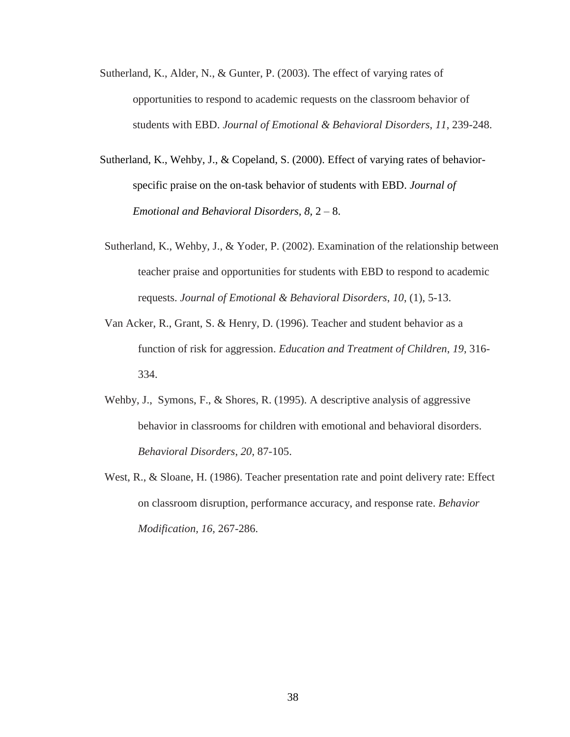- Sutherland, K., Alder, N., & Gunter, P. (2003). The effect of varying rates of opportunities to respond to academic requests on the classroom behavior of students with EBD. *Journal of Emotional & Behavioral Disorders*, *11*, 239-248.
- Sutherland, K., Wehby, J., & Copeland, S. (2000). Effect of varying rates of behaviorspecific praise on the on-task behavior of students with EBD. *Journal of Emotional and Behavioral Disorders, 8,* 2 – 8.
- Sutherland, K., Wehby, J., & Yoder, P. (2002). Examination of the relationship between teacher praise and opportunities for students with EBD to respond to academic requests. *Journal of Emotional & Behavioral Disorders*, *10*, (1), 5-13.
- Van Acker, R., Grant, S. & Henry, D. (1996). Teacher and student behavior as a function of risk for aggression. *Education and Treatment of Children*, *19*, 316- 334.
- Wehby, J., Symons, F., & Shores, R. (1995). A descriptive analysis of aggressive behavior in classrooms for children with emotional and behavioral disorders. *Behavioral Disorders*, *20*, 87-105.
- West, R., & Sloane, H. (1986). Teacher presentation rate and point delivery rate: Effect on classroom disruption, performance accuracy, and response rate. *Behavior Modification, 16,* 267-286.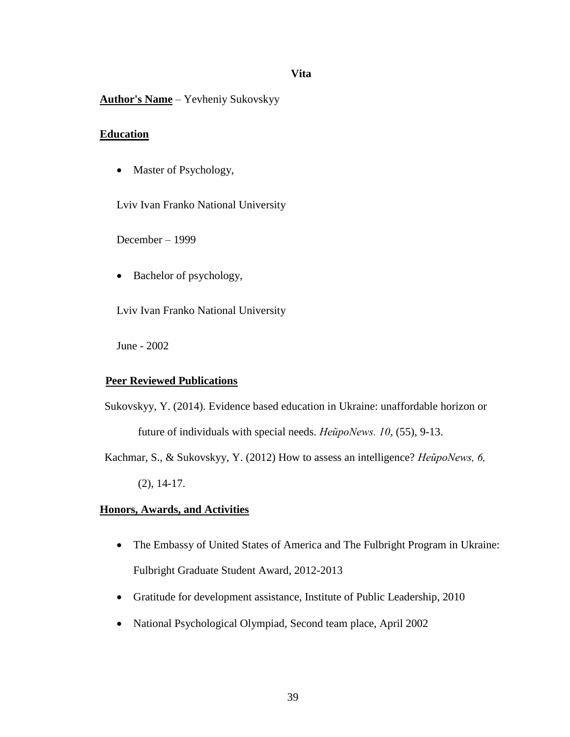## **Vita**

# <span id="page-46-0"></span>**Author's Name** – Yevheniy Sukovskyy

## **Education**

• Master of Psychology,

Lviv Ivan Franko National University

December – 1999

• Bachelor of psychology,

Lviv Ivan Franko National University

June - 2002

# **Peer Reviewed Publications**

Sukovskyy, Y. (2014). Evidence based education in Ukraine: unaffordable horizon or future of individuals with special needs. *НейроNews. 10*, (55), 9-13.

Kachmar, S., & Sukovskyy, Y. (2012) How to assess an intelligence? *НейроNews, 6,*  (2), 14-17.

# **Honors, Awards, and Activities**

- The Embassy of United States of America and The Fulbright Program in Ukraine: Fulbright Graduate Student Award, 2012-2013
- Gratitude for development assistance, Institute of Public Leadership, 2010
- National Psychological Olympiad, Second team place, April 2002